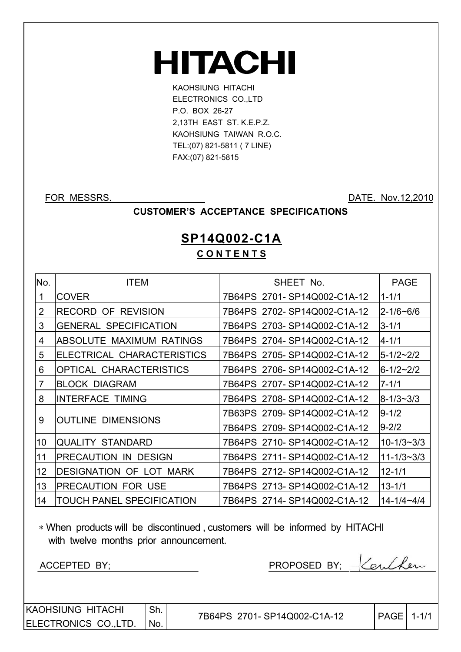# **HITACHI**

KAOHSIUNG HITACHI ELECTRONICS CO.,LTD P.O. BOX 26-27 2,13TH EAST ST. K.E.P.Z. KAOHSIUNG TAIWAN R.O.C. TEL:(07) 821-5811 ( 7 LINE) FAX:(07) 821-5815

FOR MESSRS. DATE: Nov.12,2010

#### **CUSTOMER'S ACCEPTANCE SPECIFICATIONS**

### **SP14Q002-C1A C O N T E N T S**

| No. | <b>ITEM</b>                    | SHEET No.                   | <b>PAGE</b>      |
|-----|--------------------------------|-----------------------------|------------------|
| 1   | <b>COVER</b>                   | 7B64PS 2701-SP14Q002-C1A-12 | 1-1/1            |
| 2   | <b>RECORD OF REVISION</b>      | 7B64PS 2702-SP14Q002-C1A-12 | l2-1/6~6/6       |
| 3   | <b>GENERAL SPECIFICATION</b>   | 7B64PS 2703-SP14Q002-C1A-12 | $3 - 1/1$        |
| 4   | ABSOLUTE MAXIMUM RATINGS       | 7B64PS 2704-SP14Q002-C1A-12 | $4 - 1/1$        |
| 5   | ELECTRICAL CHARACTERISTICS     | 7B64PS 2705-SP14Q002-C1A-12 | 5-1/2~2/2        |
| 6   | <b>OPTICAL CHARACTERISTICS</b> | 7B64PS 2706-SP14Q002-C1A-12 | 6-1/2~2/2        |
| 7   | <b>BLOCK DIAGRAM</b>           | 7B64PS 2707-SP14Q002-C1A-12 | $7 - 1/1$        |
| 8   | <b>INTERFACE TIMING</b>        | 7B64PS 2708-SP14Q002-C1A-12 | 8-1/3~3/3        |
|     |                                | 7B63PS 2709-SP14Q002-C1A-12 | $9 - 1/2$        |
| 9   | <b>OUTLINE DIMENSIONS</b>      | 7B64PS 2709-SP14Q002-C1A-12 | $9 - 2/2$        |
| 10  | <b>QUALITY STANDARD</b>        | 7B64PS 2710-SP14Q002-C1A-12 | $10 - 1/3 - 3/3$ |
| 11  | PRECAUTION IN DESIGN           | 7B64PS 2711-SP14Q002-C1A-12 | $11 - 1/3 - 3/3$ |
| 12  | <b>DESIGNATION OF LOT MARK</b> | 7B64PS 2712-SP14Q002-C1A-12 | $12 - 1/1$       |
| 13  | <b>PRECAUTION FOR USE</b>      | 7B64PS 2713-SP14Q002-C1A-12 | $13 - 1/1$       |
| 14  | TOUCH PANEL SPECIFICATION      | 7B64PS 2714-SP14Q002-C1A-12 | $14 - 1/4 - 4/4$ |

 When products will be discontinued , customers will be informed by HITACHI with twelve months prior announcement.

ACCEPTED BY;

| PROPOSED BY | $Q_1, I \wedge Q_2$ |
|-------------|---------------------|
|             |                     |

KAOHSIUNG HITACHI ELECTRONICS CO.,LTD. Sh. No.

7B64PS 2701-SP14Q002-C1A-12 | PAGE 1-1/1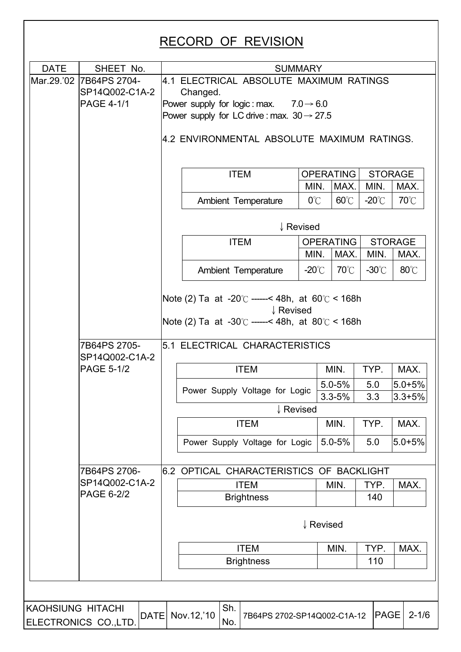| <b>DATE</b>       | SHEET No.                      |                                                                                                                                                       |                                                                                                              |                                | <b>SUMMARY</b>   |                          |                 |                          |  |
|-------------------|--------------------------------|-------------------------------------------------------------------------------------------------------------------------------------------------------|--------------------------------------------------------------------------------------------------------------|--------------------------------|------------------|--------------------------|-----------------|--------------------------|--|
| Mar.29.'02        | 7B64PS 2704-<br>SP14Q002-C1A-2 |                                                                                                                                                       | 4.1 ELECTRICAL ABSOLUTE MAXIMUM RATINGS<br>Changed.                                                          |                                |                  |                          |                 |                          |  |
|                   | <b>PAGE 4-1/1</b>              |                                                                                                                                                       | Power supply for logic: max. $7.0 \rightarrow 6.0$<br>Power supply for LC drive : max. $30 \rightarrow 27.5$ |                                |                  |                          |                 |                          |  |
|                   |                                |                                                                                                                                                       | 4.2 ENVIRONMENTAL ABSOLUTE MAXIMUM RATINGS.                                                                  |                                |                  |                          |                 |                          |  |
|                   |                                |                                                                                                                                                       | <b>ITEM</b>                                                                                                  |                                |                  | <b>OPERATING</b>         | <b>STORAGE</b>  |                          |  |
|                   |                                |                                                                                                                                                       |                                                                                                              |                                | MIN.             | MAX.                     | MIN.            | MAX.                     |  |
|                   |                                |                                                                                                                                                       | Ambient Temperature                                                                                          |                                | $0^{\circ}$ C    | $60^{\circ}$ C           | $-20^{\circ}$ C | 70°C                     |  |
|                   |                                |                                                                                                                                                       |                                                                                                              |                                | ↓ Revised        |                          |                 |                          |  |
|                   |                                |                                                                                                                                                       | <b>ITEM</b>                                                                                                  |                                |                  | <b>OPERATING</b>         |                 | <b>STORAGE</b>           |  |
|                   |                                |                                                                                                                                                       |                                                                                                              | MIN.                           | MAX.             | MIN.                     | MAX.            |                          |  |
|                   |                                |                                                                                                                                                       | Ambient Temperature                                                                                          |                                | -20 $^{\circ}$ C | $70^{\circ}$ C           | $-30^{\circ}$ C | $80^{\circ}$ C           |  |
|                   |                                | Note (2) Ta at -20 $\degree$ C ------< 48h, at 60 $\degree$ C < 168h<br>↓ Revised<br>Note (2) Ta at -30 $\degree$ ----- < 48h, at 80 $\degree$ < 168h |                                                                                                              |                                |                  |                          |                 |                          |  |
|                   | 7B64PS 2705-<br>SP14Q002-C1A-2 | 5.1 ELECTRICAL CHARACTERISTICS                                                                                                                        |                                                                                                              |                                |                  |                          |                 |                          |  |
|                   | <b>PAGE 5-1/2</b>              |                                                                                                                                                       |                                                                                                              | <b>ITEM</b>                    |                  | MIN.                     | TYP.            | MAX.                     |  |
|                   |                                |                                                                                                                                                       | Power Supply Voltage for Logic                                                                               |                                |                  | $5.0 - 5%$<br>$3.3 - 5%$ | 5.0<br>3.3      | $5.0 + 5%$<br>$3.3 + 5%$ |  |
|                   |                                |                                                                                                                                                       |                                                                                                              | ↓ Revised                      |                  |                          |                 |                          |  |
|                   |                                |                                                                                                                                                       |                                                                                                              | <b>ITEM</b>                    |                  | MIN.                     | TYP.            | MAX.                     |  |
|                   |                                |                                                                                                                                                       |                                                                                                              | Power Supply Voltage for Logic |                  | $5.0 - 5%$               | 5.0             | $5.0 + 5%$               |  |
|                   | 7B64PS 2706-                   |                                                                                                                                                       | 6.2 OPTICAL CHARACTERISTICS OF BACKLIGHT                                                                     |                                |                  |                          |                 |                          |  |
|                   | SP14Q002-C1A-2                 |                                                                                                                                                       |                                                                                                              | <b>ITEM</b>                    |                  | MIN.                     | TYP.            | MAX.                     |  |
|                   | <b>PAGE 6-2/2</b>              |                                                                                                                                                       |                                                                                                              | <b>Brightness</b>              |                  |                          | 140             |                          |  |
|                   |                                | ↓ Revised                                                                                                                                             |                                                                                                              |                                |                  |                          |                 |                          |  |
|                   |                                | <b>ITEM</b><br>MIN.<br>TYP.<br>MAX.                                                                                                                   |                                                                                                              |                                |                  |                          |                 |                          |  |
|                   |                                | <b>Brightness</b><br>110                                                                                                                              |                                                                                                              |                                |                  |                          |                 |                          |  |
|                   |                                |                                                                                                                                                       |                                                                                                              |                                |                  |                          |                 |                          |  |
| KAOHSIUNG HITACHI | DATE<br>ELECTRONICS CO.,LTD.   |                                                                                                                                                       | Sh.<br>Nov.12,'10<br>No.                                                                                     | 7B64PS 2702-SP14Q002-C1A-12    |                  |                          | <b>PAGE</b>     | $2 - 1/6$                |  |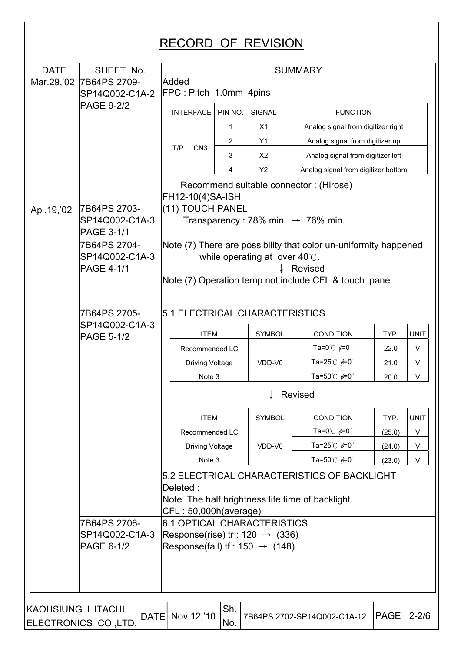| <b>DATE</b>       | SHEET No.                           |                                                                                                                                      | <b>SUMMARY</b>         |                        |                                |                |                                                                  |             |             |  |
|-------------------|-------------------------------------|--------------------------------------------------------------------------------------------------------------------------------------|------------------------|------------------------|--------------------------------|----------------|------------------------------------------------------------------|-------------|-------------|--|
| Mar.29,'02        | 7B64PS 2709-                        | Added                                                                                                                                |                        |                        |                                |                |                                                                  |             |             |  |
|                   | SP14Q002-C1A-2                      |                                                                                                                                      |                        | FPC: Pitch 1.0mm 4pins |                                |                |                                                                  |             |             |  |
|                   | <b>PAGE 9-2/2</b>                   |                                                                                                                                      | <b>INTERFACE</b>       | PIN NO.                | SIGNAL                         |                | <b>FUNCTION</b>                                                  |             |             |  |
|                   |                                     |                                                                                                                                      |                        | 1                      | X1                             |                | Analog signal from digitizer right                               |             |             |  |
|                   |                                     | T/P                                                                                                                                  | CN <sub>3</sub>        | 2                      | Y1                             |                | Analog signal from digitizer up                                  |             |             |  |
|                   |                                     |                                                                                                                                      |                        | 3                      | X2                             |                | Analog signal from digitizer left                                |             |             |  |
|                   |                                     |                                                                                                                                      |                        | 4                      | <b>Y2</b>                      |                | Analog signal from digitizer bottom                              |             |             |  |
|                   |                                     |                                                                                                                                      | FH12-10(4)SA-ISH       |                        |                                |                | Recommend suitable connector: (Hirose)                           |             |             |  |
| Apl. 19, '02      | 7B64PS 2703-                        |                                                                                                                                      |                        | (11) TOUCH PANEL       |                                |                |                                                                  |             |             |  |
|                   | SP14Q002-C1A-3<br><b>PAGE 3-1/1</b> |                                                                                                                                      |                        |                        |                                |                | Transparency : 78% min. $\rightarrow$ 76% min.                   |             |             |  |
|                   | 7B64PS 2704-                        |                                                                                                                                      |                        |                        |                                |                | Note (7) There are possibility that color un-uniformity happened |             |             |  |
|                   | SP14Q002-C1A-3                      |                                                                                                                                      |                        |                        | while operating at over 40°C.  |                |                                                                  |             |             |  |
|                   | <b>PAGE 4-1/1</b>                   |                                                                                                                                      |                        |                        |                                |                | Revised<br>Note (7) Operation temp not include CFL & touch panel |             |             |  |
|                   |                                     |                                                                                                                                      |                        |                        |                                |                |                                                                  |             |             |  |
|                   |                                     |                                                                                                                                      |                        |                        |                                |                |                                                                  |             |             |  |
|                   | 7B64PS 2705-<br>SP14Q002-C1A-3      |                                                                                                                                      |                        |                        | 5.1 ELECTRICAL CHARACTERISTICS |                |                                                                  |             |             |  |
|                   | <b>PAGE 5-1/2</b>                   |                                                                                                                                      | <b>ITEM</b>            |                        | <b>SYMBOL</b>                  |                | <b>CONDITION</b>                                                 | TYP.        | <b>UNIT</b> |  |
|                   |                                     |                                                                                                                                      | Recommended LC         |                        |                                |                | Ta=0 $^{\circ}$ C $\neq$ 0 $^{\circ}$                            | 22.0        | V           |  |
|                   |                                     |                                                                                                                                      | <b>Driving Voltage</b> |                        | VDD-V0                         |                | Ta=25 $^{\circ}$ C $\neq$ 0 $^{\circ}$                           | 21.0        | V           |  |
|                   |                                     |                                                                                                                                      | Note 3                 |                        |                                |                | Ta=50 $^{\circ}$ C $\neq$ 0 $^{\circ}$                           | 20.0        | V           |  |
|                   |                                     |                                                                                                                                      |                        |                        |                                | <b>Revised</b> |                                                                  |             |             |  |
|                   |                                     |                                                                                                                                      | <b>ITEM</b>            |                        | SYMBOL                         |                | <b>CONDITION</b>                                                 | TYP.        | <b>UNIT</b> |  |
|                   |                                     |                                                                                                                                      | Recommended LC         |                        |                                |                | Ta=0 $^{\circ}$ C $\neq$ 0 $^{\circ}$                            | (25.0)      | V           |  |
|                   |                                     |                                                                                                                                      | <b>Driving Voltage</b> |                        | VDD-V0                         |                | Ta=25 $^{\circ}$ C $\neq$ 0 $^{\circ}$                           | (24.0)      | V           |  |
|                   |                                     |                                                                                                                                      | Note 3                 |                        |                                |                | Ta=50 $^{\circ}$ C $\neq$ 0 $^{\circ}$                           | (23.0)      | V           |  |
|                   |                                     | 5.2 ELECTRICAL CHARACTERISTICS OF BACKLIGHT<br>Deleted:<br>Note The half brightness life time of backlight.<br>CFL: 50,000h(average) |                        |                        |                                |                |                                                                  |             |             |  |
|                   | 7B64PS 2706-                        |                                                                                                                                      |                        |                        | 6.1 OPTICAL CHARACTERISTICS    |                |                                                                  |             |             |  |
|                   | SP14Q002-C1A-3                      | Response(rise) tr: 120 $\rightarrow$ (336)<br>Response(fall) If : $150 \rightarrow (148)$                                            |                        |                        |                                |                |                                                                  |             |             |  |
|                   | PAGE 6-1/2                          |                                                                                                                                      |                        |                        |                                |                |                                                                  |             |             |  |
|                   |                                     |                                                                                                                                      |                        |                        |                                |                |                                                                  |             |             |  |
|                   |                                     |                                                                                                                                      |                        |                        |                                |                |                                                                  |             |             |  |
|                   |                                     |                                                                                                                                      |                        |                        |                                |                |                                                                  |             |             |  |
| KAOHSIUNG HITACHI | DATE<br>ELECTRONICS CO.,LTD.        |                                                                                                                                      | Nov.12,'10             | Sh.<br>No.             |                                |                | 7B64PS 2702-SP14Q002-C1A-12                                      | <b>PAGE</b> | $2 - 2/6$   |  |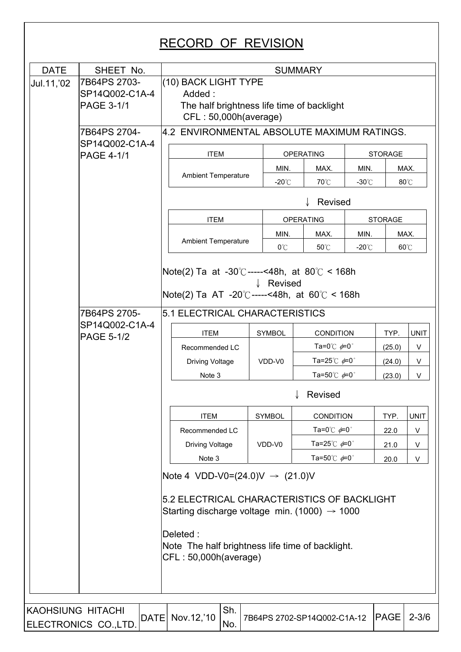| Jul.11,'02               | 7B64PS 2703-<br>SP14Q002-C1A-4<br>PAGE 3-1/1<br>7B64PS 2704-<br>SP14Q002-C1A-4<br><b>PAGE 4-1/1</b> | (10) BACK LIGHT TYPE<br>Added:<br>The half brightness life time of backlight<br>CFL: 50,000h(average)<br>4.2 ENVIRONMENTAL ABSOLUTE MAXIMUM RATINGS.<br><b>ITEM</b><br><b>Ambient Temperature</b><br><b>ITEM</b><br><b>Ambient Temperature</b>   |                                                                                           | MIN.<br>$-20^{\circ}$ C | <b>OPERATING</b><br>MAX.<br>70°C                          | MIN.<br>$-30^{\circ}$ C | <b>STORAGE</b>   | MAX.             |  |  |  |
|--------------------------|-----------------------------------------------------------------------------------------------------|--------------------------------------------------------------------------------------------------------------------------------------------------------------------------------------------------------------------------------------------------|-------------------------------------------------------------------------------------------|-------------------------|-----------------------------------------------------------|-------------------------|------------------|------------------|--|--|--|
|                          |                                                                                                     |                                                                                                                                                                                                                                                  |                                                                                           |                         |                                                           |                         |                  |                  |  |  |  |
|                          |                                                                                                     |                                                                                                                                                                                                                                                  |                                                                                           |                         |                                                           |                         |                  |                  |  |  |  |
|                          |                                                                                                     |                                                                                                                                                                                                                                                  |                                                                                           |                         |                                                           |                         |                  |                  |  |  |  |
|                          |                                                                                                     |                                                                                                                                                                                                                                                  |                                                                                           |                         |                                                           |                         |                  |                  |  |  |  |
|                          |                                                                                                     |                                                                                                                                                                                                                                                  |                                                                                           |                         |                                                           |                         |                  |                  |  |  |  |
|                          |                                                                                                     |                                                                                                                                                                                                                                                  |                                                                                           |                         |                                                           |                         |                  |                  |  |  |  |
|                          |                                                                                                     |                                                                                                                                                                                                                                                  |                                                                                           |                         |                                                           |                         |                  |                  |  |  |  |
|                          |                                                                                                     |                                                                                                                                                                                                                                                  |                                                                                           |                         |                                                           |                         |                  | 80°C             |  |  |  |
|                          |                                                                                                     |                                                                                                                                                                                                                                                  |                                                                                           | Revised                 |                                                           |                         |                  |                  |  |  |  |
|                          |                                                                                                     |                                                                                                                                                                                                                                                  |                                                                                           |                         | <b>OPERATING</b>                                          | <b>STORAGE</b>          |                  |                  |  |  |  |
|                          |                                                                                                     |                                                                                                                                                                                                                                                  |                                                                                           | MIN.                    | MAX.                                                      | MIN.                    | MAX.             |                  |  |  |  |
|                          |                                                                                                     |                                                                                                                                                                                                                                                  |                                                                                           | $0^{\circ}$ C           | 50°C                                                      | $-20^{\circ}$ C         |                  | 60°C             |  |  |  |
|                          | 7B64PS 2705-                                                                                        | Note(2) Ta at -30°C-----<48h, at 80°C < 168h                                                                                                                                                                                                     | Revised<br>Note(2) Ta AT -20°C-----<48h, at 60°C < 168h<br>5.1 ELECTRICAL CHARACTERISTICS |                         |                                                           |                         |                  |                  |  |  |  |
|                          | SP14Q002-C1A-4                                                                                      |                                                                                                                                                                                                                                                  |                                                                                           |                         |                                                           |                         |                  |                  |  |  |  |
|                          | <b>PAGE 5-1/2</b>                                                                                   | <b>ITEM</b>                                                                                                                                                                                                                                      |                                                                                           | <b>SYMBOL</b>           | <b>CONDITION</b><br>Ta=0 $^{\circ}$ C $\neq$ 0 $^{\circ}$ |                         | TYP.             | <b>UNIT</b><br>V |  |  |  |
|                          |                                                                                                     | Recommended LC<br><b>Driving Voltage</b>                                                                                                                                                                                                         |                                                                                           | VDD-V0                  | Ta=25 $^{\circ}$ C $\neq$ 0 $^{\circ}$                    |                         | (25.0)<br>(24.0) | V                |  |  |  |
|                          |                                                                                                     | Note 3                                                                                                                                                                                                                                           |                                                                                           |                         | Ta=50 $^{\circ}$ C $\phi$ =0 $^{\circ}$                   |                         | (23.0)           | V                |  |  |  |
|                          |                                                                                                     | Revised                                                                                                                                                                                                                                          |                                                                                           |                         |                                                           |                         |                  |                  |  |  |  |
|                          |                                                                                                     | <b>ITEM</b>                                                                                                                                                                                                                                      |                                                                                           | <b>SYMBOL</b>           | CONDITION                                                 |                         | TYP.             | <b>UNIT</b>      |  |  |  |
|                          |                                                                                                     | Recommended LC                                                                                                                                                                                                                                   |                                                                                           |                         | Ta=0 $^{\circ}$ C $\neq$ 0 $^{\circ}$                     |                         | 22.0             | V                |  |  |  |
|                          |                                                                                                     | <b>Driving Voltage</b>                                                                                                                                                                                                                           |                                                                                           | VDD-V0                  | Ta=25℃ $\phi$ =0°                                         |                         | 21.0             | V                |  |  |  |
|                          |                                                                                                     | Note 3                                                                                                                                                                                                                                           |                                                                                           |                         | Ta=50 $^{\circ}$ C $\phi$ =0 $^{\circ}$                   |                         | 20.0             | V                |  |  |  |
|                          |                                                                                                     | Note 4 VDD-V0=(24.0)V $\rightarrow$ (21.0)V<br>5.2 ELECTRICAL CHARACTERISTICS OF BACKLIGHT<br>Starting discharge voltage min. (1000) $\rightarrow$ 1000<br>Deleted:<br>Note The half brightness life time of backlight.<br>CFL: 50,000h(average) |                                                                                           |                         |                                                           |                         |                  |                  |  |  |  |
|                          |                                                                                                     |                                                                                                                                                                                                                                                  |                                                                                           |                         |                                                           |                         |                  |                  |  |  |  |
| <b>KAOHSIUNG HITACHI</b> |                                                                                                     | Sh.                                                                                                                                                                                                                                              |                                                                                           |                         |                                                           |                         |                  |                  |  |  |  |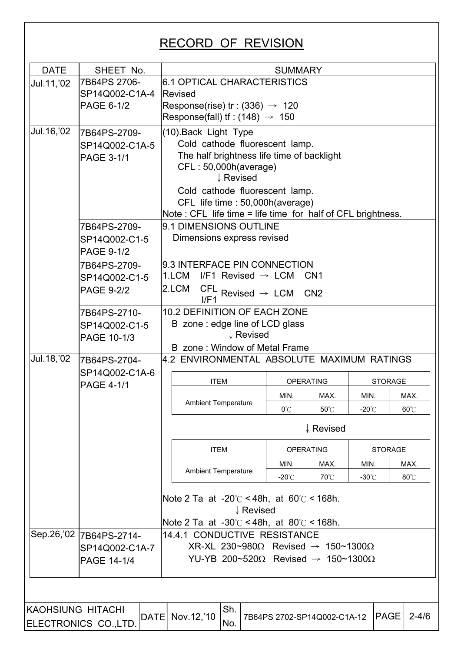| <b>DATE</b><br>SHEET No.<br><b>SUMMARY</b><br>6.1 OPTICAL CHARACTERISTICS<br>7B64PS 2706-<br>Jul.11, '02<br>SP14Q002-C1A-4<br><b>Revised</b><br>PAGE 6-1/2<br>Response(rise) tr: $(336) \rightarrow 120$<br>Response(fall) If : (148) $\rightarrow$ 150<br>Jul. 16, '02<br>(10) Back Light Type<br>7B64PS-2709-<br>Cold cathode fluorescent lamp.<br>SP14Q002-C1A-5<br>The half brightness life time of backlight<br><b>PAGE 3-1/1</b><br>CFL: 50,000h(average)<br>↓ Revised<br>Cold cathode fluorescent lamp.<br>CFL life time : 50,000h (average)<br>Note : CFL life time = life time for half of CFL brightness.<br>9.1 DIMENSIONS OUTLINE<br>7B64PS-2709-<br>Dimensions express revised<br>SP14Q002-C1-5<br><b>PAGE 9-1/2</b><br>9.3 INTERFACE PIN CONNECTION<br>7B64PS-2709-<br>1.LCM<br>I/F1 Revised $\rightarrow$ LCM<br>CN <sub>1</sub><br>SP14Q002-C1-5<br>2.LCM<br>$\textsf{CFL}$ Revised $\rightarrow \textsf{LCM}$<br><b>PAGE 9-2/2</b><br>CN <sub>2</sub><br>I/F1<br>10.2 DEFINITION OF EACH ZONE<br>7B64PS-2710-<br>B zone: edge line of LCD glass<br>SP14Q002-C1-5<br>↓ Revised<br>PAGE 10-1/3<br>B zone: Window of Metal Frame<br>Jul. 18, '02<br>4.2 ENVIRONMENTAL ABSOLUTE MAXIMUM RATINGS<br>7B64PS-2704-<br>SP14Q002-C1A-6<br><b>ITEM</b><br><b>OPERATING</b><br><b>STORAGE</b><br><b>PAGE 4-1/1</b><br>MIN.<br>MIN.<br>MAX.<br>MAX.<br><b>Ambient Temperature</b><br>0°C<br>50°C<br>$-20^{\circ}$ C<br>60°C<br>↓ Revised<br><b>ITEM</b><br><b>OPERATING</b><br><b>STORAGE</b><br>MIN.<br>MAX.<br>MIN.<br>MAX.<br><b>Ambient Temperature</b><br>$-20^{\circ}$ C<br>70°C<br>$-30^{\circ}$ C<br>$80^{\circ}$ C<br>Note 2 Ta at -20 $\degree$ C < 48h, at 60 $\degree$ C < 168h.<br>↓ Revised<br>Note 2 Ta at -30 $\degree$ C < 48h, at 80 $\degree$ C < 168h.<br>Sep.26,'02 7B64PS-2714-<br>14.4.1 CONDUCTIVE RESISTANCE<br>XR-XL 230~980 $\Omega$ Revised $\rightarrow$ 150~1300 $\Omega$<br>SP14Q002-C1A-7<br>YU-YB 200~520 $\Omega$ Revised $\rightarrow$ 150~1300 $\Omega$<br><b>PAGE 14-1/4</b><br>Sh.<br><b>KAOHSIUNG HITACHI</b><br>DATE Nov. 12, '10<br><b>PAGE</b><br>$2 - 4/6$<br>7B64PS 2702-SP14Q002-C1A-12<br>No.<br>ELECTRONICS CO., LTD. |  |  |  |  |  |  |  |  |  |  |  |
|---------------------------------------------------------------------------------------------------------------------------------------------------------------------------------------------------------------------------------------------------------------------------------------------------------------------------------------------------------------------------------------------------------------------------------------------------------------------------------------------------------------------------------------------------------------------------------------------------------------------------------------------------------------------------------------------------------------------------------------------------------------------------------------------------------------------------------------------------------------------------------------------------------------------------------------------------------------------------------------------------------------------------------------------------------------------------------------------------------------------------------------------------------------------------------------------------------------------------------------------------------------------------------------------------------------------------------------------------------------------------------------------------------------------------------------------------------------------------------------------------------------------------------------------------------------------------------------------------------------------------------------------------------------------------------------------------------------------------------------------------------------------------------------------------------------------------------------------------------------------------------------------------------------------------------------------------------------------------------------------------------------------------------------------------------------------------------------------------------------------------------------------------------------------------|--|--|--|--|--|--|--|--|--|--|--|
|                                                                                                                                                                                                                                                                                                                                                                                                                                                                                                                                                                                                                                                                                                                                                                                                                                                                                                                                                                                                                                                                                                                                                                                                                                                                                                                                                                                                                                                                                                                                                                                                                                                                                                                                                                                                                                                                                                                                                                                                                                                                                                                                                                           |  |  |  |  |  |  |  |  |  |  |  |
|                                                                                                                                                                                                                                                                                                                                                                                                                                                                                                                                                                                                                                                                                                                                                                                                                                                                                                                                                                                                                                                                                                                                                                                                                                                                                                                                                                                                                                                                                                                                                                                                                                                                                                                                                                                                                                                                                                                                                                                                                                                                                                                                                                           |  |  |  |  |  |  |  |  |  |  |  |
|                                                                                                                                                                                                                                                                                                                                                                                                                                                                                                                                                                                                                                                                                                                                                                                                                                                                                                                                                                                                                                                                                                                                                                                                                                                                                                                                                                                                                                                                                                                                                                                                                                                                                                                                                                                                                                                                                                                                                                                                                                                                                                                                                                           |  |  |  |  |  |  |  |  |  |  |  |
|                                                                                                                                                                                                                                                                                                                                                                                                                                                                                                                                                                                                                                                                                                                                                                                                                                                                                                                                                                                                                                                                                                                                                                                                                                                                                                                                                                                                                                                                                                                                                                                                                                                                                                                                                                                                                                                                                                                                                                                                                                                                                                                                                                           |  |  |  |  |  |  |  |  |  |  |  |
|                                                                                                                                                                                                                                                                                                                                                                                                                                                                                                                                                                                                                                                                                                                                                                                                                                                                                                                                                                                                                                                                                                                                                                                                                                                                                                                                                                                                                                                                                                                                                                                                                                                                                                                                                                                                                                                                                                                                                                                                                                                                                                                                                                           |  |  |  |  |  |  |  |  |  |  |  |
|                                                                                                                                                                                                                                                                                                                                                                                                                                                                                                                                                                                                                                                                                                                                                                                                                                                                                                                                                                                                                                                                                                                                                                                                                                                                                                                                                                                                                                                                                                                                                                                                                                                                                                                                                                                                                                                                                                                                                                                                                                                                                                                                                                           |  |  |  |  |  |  |  |  |  |  |  |
|                                                                                                                                                                                                                                                                                                                                                                                                                                                                                                                                                                                                                                                                                                                                                                                                                                                                                                                                                                                                                                                                                                                                                                                                                                                                                                                                                                                                                                                                                                                                                                                                                                                                                                                                                                                                                                                                                                                                                                                                                                                                                                                                                                           |  |  |  |  |  |  |  |  |  |  |  |
|                                                                                                                                                                                                                                                                                                                                                                                                                                                                                                                                                                                                                                                                                                                                                                                                                                                                                                                                                                                                                                                                                                                                                                                                                                                                                                                                                                                                                                                                                                                                                                                                                                                                                                                                                                                                                                                                                                                                                                                                                                                                                                                                                                           |  |  |  |  |  |  |  |  |  |  |  |
|                                                                                                                                                                                                                                                                                                                                                                                                                                                                                                                                                                                                                                                                                                                                                                                                                                                                                                                                                                                                                                                                                                                                                                                                                                                                                                                                                                                                                                                                                                                                                                                                                                                                                                                                                                                                                                                                                                                                                                                                                                                                                                                                                                           |  |  |  |  |  |  |  |  |  |  |  |
|                                                                                                                                                                                                                                                                                                                                                                                                                                                                                                                                                                                                                                                                                                                                                                                                                                                                                                                                                                                                                                                                                                                                                                                                                                                                                                                                                                                                                                                                                                                                                                                                                                                                                                                                                                                                                                                                                                                                                                                                                                                                                                                                                                           |  |  |  |  |  |  |  |  |  |  |  |
|                                                                                                                                                                                                                                                                                                                                                                                                                                                                                                                                                                                                                                                                                                                                                                                                                                                                                                                                                                                                                                                                                                                                                                                                                                                                                                                                                                                                                                                                                                                                                                                                                                                                                                                                                                                                                                                                                                                                                                                                                                                                                                                                                                           |  |  |  |  |  |  |  |  |  |  |  |
|                                                                                                                                                                                                                                                                                                                                                                                                                                                                                                                                                                                                                                                                                                                                                                                                                                                                                                                                                                                                                                                                                                                                                                                                                                                                                                                                                                                                                                                                                                                                                                                                                                                                                                                                                                                                                                                                                                                                                                                                                                                                                                                                                                           |  |  |  |  |  |  |  |  |  |  |  |
|                                                                                                                                                                                                                                                                                                                                                                                                                                                                                                                                                                                                                                                                                                                                                                                                                                                                                                                                                                                                                                                                                                                                                                                                                                                                                                                                                                                                                                                                                                                                                                                                                                                                                                                                                                                                                                                                                                                                                                                                                                                                                                                                                                           |  |  |  |  |  |  |  |  |  |  |  |
|                                                                                                                                                                                                                                                                                                                                                                                                                                                                                                                                                                                                                                                                                                                                                                                                                                                                                                                                                                                                                                                                                                                                                                                                                                                                                                                                                                                                                                                                                                                                                                                                                                                                                                                                                                                                                                                                                                                                                                                                                                                                                                                                                                           |  |  |  |  |  |  |  |  |  |  |  |
|                                                                                                                                                                                                                                                                                                                                                                                                                                                                                                                                                                                                                                                                                                                                                                                                                                                                                                                                                                                                                                                                                                                                                                                                                                                                                                                                                                                                                                                                                                                                                                                                                                                                                                                                                                                                                                                                                                                                                                                                                                                                                                                                                                           |  |  |  |  |  |  |  |  |  |  |  |
|                                                                                                                                                                                                                                                                                                                                                                                                                                                                                                                                                                                                                                                                                                                                                                                                                                                                                                                                                                                                                                                                                                                                                                                                                                                                                                                                                                                                                                                                                                                                                                                                                                                                                                                                                                                                                                                                                                                                                                                                                                                                                                                                                                           |  |  |  |  |  |  |  |  |  |  |  |
|                                                                                                                                                                                                                                                                                                                                                                                                                                                                                                                                                                                                                                                                                                                                                                                                                                                                                                                                                                                                                                                                                                                                                                                                                                                                                                                                                                                                                                                                                                                                                                                                                                                                                                                                                                                                                                                                                                                                                                                                                                                                                                                                                                           |  |  |  |  |  |  |  |  |  |  |  |
|                                                                                                                                                                                                                                                                                                                                                                                                                                                                                                                                                                                                                                                                                                                                                                                                                                                                                                                                                                                                                                                                                                                                                                                                                                                                                                                                                                                                                                                                                                                                                                                                                                                                                                                                                                                                                                                                                                                                                                                                                                                                                                                                                                           |  |  |  |  |  |  |  |  |  |  |  |
|                                                                                                                                                                                                                                                                                                                                                                                                                                                                                                                                                                                                                                                                                                                                                                                                                                                                                                                                                                                                                                                                                                                                                                                                                                                                                                                                                                                                                                                                                                                                                                                                                                                                                                                                                                                                                                                                                                                                                                                                                                                                                                                                                                           |  |  |  |  |  |  |  |  |  |  |  |
|                                                                                                                                                                                                                                                                                                                                                                                                                                                                                                                                                                                                                                                                                                                                                                                                                                                                                                                                                                                                                                                                                                                                                                                                                                                                                                                                                                                                                                                                                                                                                                                                                                                                                                                                                                                                                                                                                                                                                                                                                                                                                                                                                                           |  |  |  |  |  |  |  |  |  |  |  |
|                                                                                                                                                                                                                                                                                                                                                                                                                                                                                                                                                                                                                                                                                                                                                                                                                                                                                                                                                                                                                                                                                                                                                                                                                                                                                                                                                                                                                                                                                                                                                                                                                                                                                                                                                                                                                                                                                                                                                                                                                                                                                                                                                                           |  |  |  |  |  |  |  |  |  |  |  |
|                                                                                                                                                                                                                                                                                                                                                                                                                                                                                                                                                                                                                                                                                                                                                                                                                                                                                                                                                                                                                                                                                                                                                                                                                                                                                                                                                                                                                                                                                                                                                                                                                                                                                                                                                                                                                                                                                                                                                                                                                                                                                                                                                                           |  |  |  |  |  |  |  |  |  |  |  |
|                                                                                                                                                                                                                                                                                                                                                                                                                                                                                                                                                                                                                                                                                                                                                                                                                                                                                                                                                                                                                                                                                                                                                                                                                                                                                                                                                                                                                                                                                                                                                                                                                                                                                                                                                                                                                                                                                                                                                                                                                                                                                                                                                                           |  |  |  |  |  |  |  |  |  |  |  |
|                                                                                                                                                                                                                                                                                                                                                                                                                                                                                                                                                                                                                                                                                                                                                                                                                                                                                                                                                                                                                                                                                                                                                                                                                                                                                                                                                                                                                                                                                                                                                                                                                                                                                                                                                                                                                                                                                                                                                                                                                                                                                                                                                                           |  |  |  |  |  |  |  |  |  |  |  |
|                                                                                                                                                                                                                                                                                                                                                                                                                                                                                                                                                                                                                                                                                                                                                                                                                                                                                                                                                                                                                                                                                                                                                                                                                                                                                                                                                                                                                                                                                                                                                                                                                                                                                                                                                                                                                                                                                                                                                                                                                                                                                                                                                                           |  |  |  |  |  |  |  |  |  |  |  |
|                                                                                                                                                                                                                                                                                                                                                                                                                                                                                                                                                                                                                                                                                                                                                                                                                                                                                                                                                                                                                                                                                                                                                                                                                                                                                                                                                                                                                                                                                                                                                                                                                                                                                                                                                                                                                                                                                                                                                                                                                                                                                                                                                                           |  |  |  |  |  |  |  |  |  |  |  |
|                                                                                                                                                                                                                                                                                                                                                                                                                                                                                                                                                                                                                                                                                                                                                                                                                                                                                                                                                                                                                                                                                                                                                                                                                                                                                                                                                                                                                                                                                                                                                                                                                                                                                                                                                                                                                                                                                                                                                                                                                                                                                                                                                                           |  |  |  |  |  |  |  |  |  |  |  |
|                                                                                                                                                                                                                                                                                                                                                                                                                                                                                                                                                                                                                                                                                                                                                                                                                                                                                                                                                                                                                                                                                                                                                                                                                                                                                                                                                                                                                                                                                                                                                                                                                                                                                                                                                                                                                                                                                                                                                                                                                                                                                                                                                                           |  |  |  |  |  |  |  |  |  |  |  |
|                                                                                                                                                                                                                                                                                                                                                                                                                                                                                                                                                                                                                                                                                                                                                                                                                                                                                                                                                                                                                                                                                                                                                                                                                                                                                                                                                                                                                                                                                                                                                                                                                                                                                                                                                                                                                                                                                                                                                                                                                                                                                                                                                                           |  |  |  |  |  |  |  |  |  |  |  |
|                                                                                                                                                                                                                                                                                                                                                                                                                                                                                                                                                                                                                                                                                                                                                                                                                                                                                                                                                                                                                                                                                                                                                                                                                                                                                                                                                                                                                                                                                                                                                                                                                                                                                                                                                                                                                                                                                                                                                                                                                                                                                                                                                                           |  |  |  |  |  |  |  |  |  |  |  |
|                                                                                                                                                                                                                                                                                                                                                                                                                                                                                                                                                                                                                                                                                                                                                                                                                                                                                                                                                                                                                                                                                                                                                                                                                                                                                                                                                                                                                                                                                                                                                                                                                                                                                                                                                                                                                                                                                                                                                                                                                                                                                                                                                                           |  |  |  |  |  |  |  |  |  |  |  |
|                                                                                                                                                                                                                                                                                                                                                                                                                                                                                                                                                                                                                                                                                                                                                                                                                                                                                                                                                                                                                                                                                                                                                                                                                                                                                                                                                                                                                                                                                                                                                                                                                                                                                                                                                                                                                                                                                                                                                                                                                                                                                                                                                                           |  |  |  |  |  |  |  |  |  |  |  |
|                                                                                                                                                                                                                                                                                                                                                                                                                                                                                                                                                                                                                                                                                                                                                                                                                                                                                                                                                                                                                                                                                                                                                                                                                                                                                                                                                                                                                                                                                                                                                                                                                                                                                                                                                                                                                                                                                                                                                                                                                                                                                                                                                                           |  |  |  |  |  |  |  |  |  |  |  |
|                                                                                                                                                                                                                                                                                                                                                                                                                                                                                                                                                                                                                                                                                                                                                                                                                                                                                                                                                                                                                                                                                                                                                                                                                                                                                                                                                                                                                                                                                                                                                                                                                                                                                                                                                                                                                                                                                                                                                                                                                                                                                                                                                                           |  |  |  |  |  |  |  |  |  |  |  |
|                                                                                                                                                                                                                                                                                                                                                                                                                                                                                                                                                                                                                                                                                                                                                                                                                                                                                                                                                                                                                                                                                                                                                                                                                                                                                                                                                                                                                                                                                                                                                                                                                                                                                                                                                                                                                                                                                                                                                                                                                                                                                                                                                                           |  |  |  |  |  |  |  |  |  |  |  |
|                                                                                                                                                                                                                                                                                                                                                                                                                                                                                                                                                                                                                                                                                                                                                                                                                                                                                                                                                                                                                                                                                                                                                                                                                                                                                                                                                                                                                                                                                                                                                                                                                                                                                                                                                                                                                                                                                                                                                                                                                                                                                                                                                                           |  |  |  |  |  |  |  |  |  |  |  |
|                                                                                                                                                                                                                                                                                                                                                                                                                                                                                                                                                                                                                                                                                                                                                                                                                                                                                                                                                                                                                                                                                                                                                                                                                                                                                                                                                                                                                                                                                                                                                                                                                                                                                                                                                                                                                                                                                                                                                                                                                                                                                                                                                                           |  |  |  |  |  |  |  |  |  |  |  |
|                                                                                                                                                                                                                                                                                                                                                                                                                                                                                                                                                                                                                                                                                                                                                                                                                                                                                                                                                                                                                                                                                                                                                                                                                                                                                                                                                                                                                                                                                                                                                                                                                                                                                                                                                                                                                                                                                                                                                                                                                                                                                                                                                                           |  |  |  |  |  |  |  |  |  |  |  |
|                                                                                                                                                                                                                                                                                                                                                                                                                                                                                                                                                                                                                                                                                                                                                                                                                                                                                                                                                                                                                                                                                                                                                                                                                                                                                                                                                                                                                                                                                                                                                                                                                                                                                                                                                                                                                                                                                                                                                                                                                                                                                                                                                                           |  |  |  |  |  |  |  |  |  |  |  |
|                                                                                                                                                                                                                                                                                                                                                                                                                                                                                                                                                                                                                                                                                                                                                                                                                                                                                                                                                                                                                                                                                                                                                                                                                                                                                                                                                                                                                                                                                                                                                                                                                                                                                                                                                                                                                                                                                                                                                                                                                                                                                                                                                                           |  |  |  |  |  |  |  |  |  |  |  |
|                                                                                                                                                                                                                                                                                                                                                                                                                                                                                                                                                                                                                                                                                                                                                                                                                                                                                                                                                                                                                                                                                                                                                                                                                                                                                                                                                                                                                                                                                                                                                                                                                                                                                                                                                                                                                                                                                                                                                                                                                                                                                                                                                                           |  |  |  |  |  |  |  |  |  |  |  |
|                                                                                                                                                                                                                                                                                                                                                                                                                                                                                                                                                                                                                                                                                                                                                                                                                                                                                                                                                                                                                                                                                                                                                                                                                                                                                                                                                                                                                                                                                                                                                                                                                                                                                                                                                                                                                                                                                                                                                                                                                                                                                                                                                                           |  |  |  |  |  |  |  |  |  |  |  |
|                                                                                                                                                                                                                                                                                                                                                                                                                                                                                                                                                                                                                                                                                                                                                                                                                                                                                                                                                                                                                                                                                                                                                                                                                                                                                                                                                                                                                                                                                                                                                                                                                                                                                                                                                                                                                                                                                                                                                                                                                                                                                                                                                                           |  |  |  |  |  |  |  |  |  |  |  |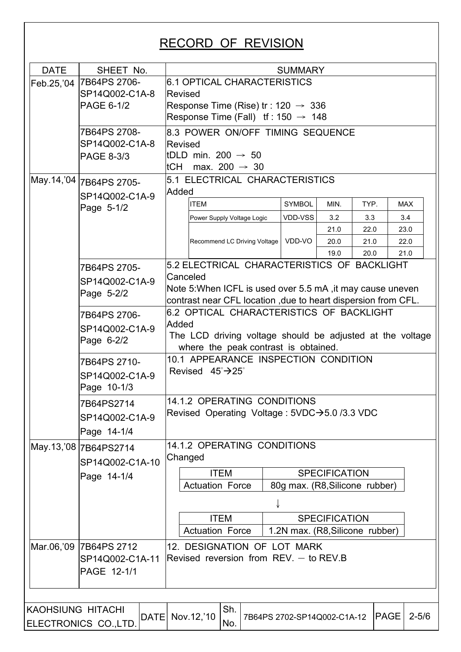| <b>DATE</b>              | SHEET No.                     |          |                                                               | <b>SUMMARY</b>                  |                      |      |             |           |
|--------------------------|-------------------------------|----------|---------------------------------------------------------------|---------------------------------|----------------------|------|-------------|-----------|
|                          | Feb.25,'04 7B64PS 2706-       |          | <b>6.1 OPTICAL CHARACTERISTICS</b>                            |                                 |                      |      |             |           |
|                          | SP14Q002-C1A-8                | Revised  |                                                               |                                 |                      |      |             |           |
|                          | PAGE 6-1/2                    |          | Response Time (Rise) tr: $120 \rightarrow 336$                |                                 |                      |      |             |           |
|                          |                               |          | Response Time (Fall) If : $150 \rightarrow 148$               |                                 |                      |      |             |           |
|                          | 7B64PS 2708-                  |          | 8.3 POWER ON/OFF TIMING SEQUENCE                              |                                 |                      |      |             |           |
|                          | SP14Q002-C1A-8                | Revised  |                                                               |                                 |                      |      |             |           |
|                          | PAGE 8-3/3                    |          | ItDLD min. 200 $\rightarrow$ 50                               |                                 |                      |      |             |           |
|                          |                               |          | ltCH max. 200 $\rightarrow$ 30                                |                                 |                      |      |             |           |
|                          | May.14,'04 7B64PS 2705-       | Added    | 5.1 ELECTRICAL CHARACTERISTICS                                |                                 |                      |      |             |           |
|                          | SP14Q002-C1A-9                |          | <b>ITEM</b>                                                   | <b>SYMBOL</b>                   | MIN.                 | TYP. | <b>MAX</b>  |           |
|                          | Page 5-1/2                    |          | Power Supply Voltage Logic                                    | VDD-VSS                         | 3.2                  | 3.3  | 3.4         |           |
|                          |                               |          |                                                               |                                 | 21.0                 | 22.0 | 23.0        |           |
|                          |                               |          | Recommend LC Driving Voltage   VDD-VO                         |                                 | 20.0                 | 21.0 | 22.0        |           |
|                          |                               |          |                                                               |                                 | 19.0                 | 20.0 | 21.0        |           |
|                          | 7B64PS 2705-                  |          | 5.2 ELECTRICAL CHARACTERISTICS OF BACKLIGHT                   |                                 |                      |      |             |           |
|                          | SP14Q002-C1A-9                | Canceled |                                                               |                                 |                      |      |             |           |
|                          | Page 5-2/2                    |          | Note 5: When ICFL is used over 5.5 mA, it may cause uneven    |                                 |                      |      |             |           |
|                          |                               |          | contrast near CFL location, due to heart dispersion from CFL. |                                 |                      |      |             |           |
|                          | 7B64PS 2706-                  |          | 6.2 OPTICAL CHARACTERISTICS OF BACKLIGHT                      |                                 |                      |      |             |           |
|                          | SP14Q002-C1A-9                | Added    | The LCD driving voltage should be adjusted at the voltage     |                                 |                      |      |             |           |
|                          | Page 6-2/2                    |          | where the peak contrast is obtained.                          |                                 |                      |      |             |           |
|                          | 7B64PS 2710-                  |          | 10.1 APPEARANCE INSPECTION CONDITION                          |                                 |                      |      |             |           |
|                          | SP14Q002-C1A-9                |          | Revised $45^{\circ}$ $\rightarrow$ 25°                        |                                 |                      |      |             |           |
|                          | Page 10-1/3                   |          |                                                               |                                 |                      |      |             |           |
|                          |                               |          | 14.1.2 OPERATING CONDITIONS                                   |                                 |                      |      |             |           |
|                          | 7B64PS2714                    |          | Revised Operating Voltage : 5VDC→5.0 /3.3 VDC                 |                                 |                      |      |             |           |
|                          | SP14Q002-C1A-9                |          |                                                               |                                 |                      |      |             |           |
|                          | Page 14-1/4                   |          |                                                               |                                 |                      |      |             |           |
|                          | May.13,'08 7B64PS2714         |          | 14.1.2 OPERATING CONDITIONS                                   |                                 |                      |      |             |           |
|                          | SP14Q002-C1A-10               | Changed  |                                                               |                                 |                      |      |             |           |
|                          | Page 14-1/4                   |          | <b>ITEM</b>                                                   |                                 | <b>SPECIFICATION</b> |      |             |           |
|                          |                               |          | <b>Actuation Force</b>                                        | 80g max. (R8, Silicone rubber)  |                      |      |             |           |
|                          |                               |          |                                                               |                                 |                      |      |             |           |
|                          |                               |          | <b>ITEM</b>                                                   |                                 | <b>SPECIFICATION</b> |      |             |           |
|                          |                               |          | <b>Actuation Force</b>                                        | 1.2N max. (R8, Silicone rubber) |                      |      |             |           |
|                          | Mar.06,'09 7B64PS 2712        |          | 12. DESIGNATION OF LOT MARK                                   |                                 |                      |      |             |           |
|                          | SP14Q002-C1A-11               |          | Revised reversion from $REV -$ to $REV.B$                     |                                 |                      |      |             |           |
|                          | PAGE 12-1/1                   |          |                                                               |                                 |                      |      |             |           |
|                          |                               |          |                                                               |                                 |                      |      |             |           |
|                          |                               |          |                                                               |                                 |                      |      |             |           |
| <b>KAOHSIUNG HITACHI</b> |                               |          | Sh.                                                           |                                 |                      |      |             |           |
|                          | DATE<br>ELECTRONICS CO., LTD. |          | Nov.12,'10<br>No.                                             | 7B64PS 2702-SP14Q002-C1A-12     |                      |      | <b>PAGE</b> | $2 - 5/6$ |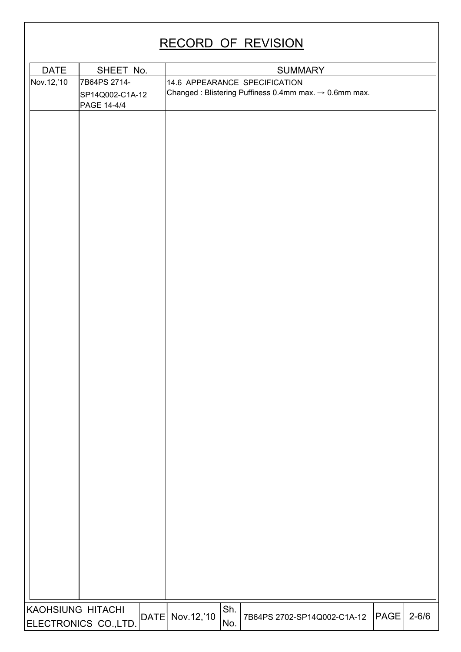| <b>DATE</b>       | SHEET No.                       |              |            |     | <b>SUMMARY</b>                                                                                     |      |           |
|-------------------|---------------------------------|--------------|------------|-----|----------------------------------------------------------------------------------------------------|------|-----------|
| Nov.12,'10        | 7B64PS 2714-<br>SP14Q002-C1A-12 |              |            |     | 14.6 APPEARANCE SPECIFICATION<br>Changed: Blistering Puffiness 0.4mm max. $\rightarrow$ 0.6mm max. |      |           |
|                   | PAGE 14-4/4                     |              |            |     |                                                                                                    |      |           |
|                   |                                 |              |            |     |                                                                                                    |      |           |
|                   |                                 |              |            |     |                                                                                                    |      |           |
|                   |                                 |              |            |     |                                                                                                    |      |           |
|                   |                                 |              |            |     |                                                                                                    |      |           |
|                   |                                 |              |            |     |                                                                                                    |      |           |
|                   |                                 |              |            |     |                                                                                                    |      |           |
|                   |                                 |              |            |     |                                                                                                    |      |           |
|                   |                                 |              |            |     |                                                                                                    |      |           |
|                   |                                 |              |            |     |                                                                                                    |      |           |
|                   |                                 |              |            |     |                                                                                                    |      |           |
|                   |                                 |              |            |     |                                                                                                    |      |           |
|                   |                                 |              |            |     |                                                                                                    |      |           |
|                   |                                 |              |            |     |                                                                                                    |      |           |
|                   |                                 |              |            |     |                                                                                                    |      |           |
|                   |                                 |              |            |     |                                                                                                    |      |           |
|                   |                                 |              |            |     |                                                                                                    |      |           |
|                   |                                 |              |            |     |                                                                                                    |      |           |
|                   |                                 |              |            |     |                                                                                                    |      |           |
|                   |                                 |              |            |     |                                                                                                    |      |           |
|                   |                                 |              |            |     |                                                                                                    |      |           |
|                   |                                 |              |            |     |                                                                                                    |      |           |
|                   |                                 |              |            |     |                                                                                                    |      |           |
|                   |                                 |              |            |     |                                                                                                    |      |           |
|                   |                                 |              |            |     |                                                                                                    |      |           |
|                   |                                 |              |            |     |                                                                                                    |      |           |
|                   |                                 |              |            |     |                                                                                                    |      |           |
|                   |                                 |              |            |     |                                                                                                    |      |           |
|                   |                                 |              |            |     |                                                                                                    |      |           |
|                   |                                 |              |            |     |                                                                                                    |      |           |
|                   |                                 |              |            |     |                                                                                                    |      |           |
|                   |                                 |              |            |     |                                                                                                    |      |           |
|                   |                                 |              |            |     |                                                                                                    |      |           |
|                   |                                 |              |            |     |                                                                                                    |      |           |
|                   |                                 |              |            |     |                                                                                                    |      |           |
| KAOHSIUNG HITACHI |                                 |              |            | Sh. |                                                                                                    |      |           |
|                   | ELECTRONICS CO., LTD.           | $ $ DATE $ $ | Nov.12,'10 | No. | 7B64PS 2702-SP14Q002-C1A-12                                                                        | PAGE | $2 - 6/6$ |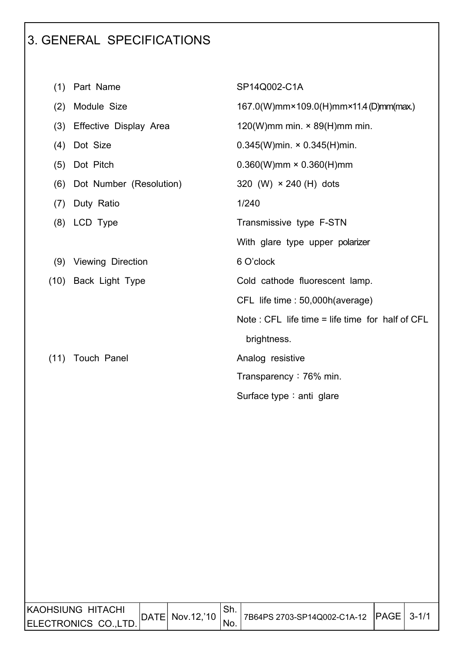### 3. GENERAL SPECIFICATIONS

I

| (1)  | Part Name               | SP14Q002-C1A                                       |
|------|-------------------------|----------------------------------------------------|
| (2)  | Module Size             | 167.0(W)mm×109.0(H)mm×11.4(D)mm(max.)              |
| (3)  | Effective Display Area  | 120(W)mm min. $\times$ 89(H)mm min.                |
| (4)  | Dot Size                | $0.345(W)$ min. $\times$ 0.345(H)min.              |
| (5)  | Dot Pitch               | $0.360(W)$ mm × 0.360(H)mm                         |
| (6)  | Dot Number (Resolution) | 320 (W) $\times$ 240 (H) dots                      |
| (7)  | Duty Ratio              | 1/240                                              |
|      | (8) LCD Type            | Transmissive type F-STN                            |
|      |                         | With glare type upper polarizer                    |
|      | (9) Viewing Direction   | 6 O'clock                                          |
|      | (10) Back Light Type    | Cold cathode fluorescent lamp.                     |
|      |                         | CFL life time : 50,000h (average)                  |
|      |                         | Note : CFL life time $=$ life time for half of CFL |
|      |                         | brightness.                                        |
| (11) | <b>Touch Panel</b>      | Analog resistive                                   |
|      |                         | Transparency: 76% min.                             |
|      |                         | Surface type: anti glare                           |
|      |                         |                                                    |

| IKAOHSIUNG HITACHI   | DATE  Nov.12,'10 | 17B64PS 2703-SP14Q002-C1A-12 PAGE 3-1/1 |  |
|----------------------|------------------|-----------------------------------------|--|
| ELECTRONICS CO.,LTD. |                  |                                         |  |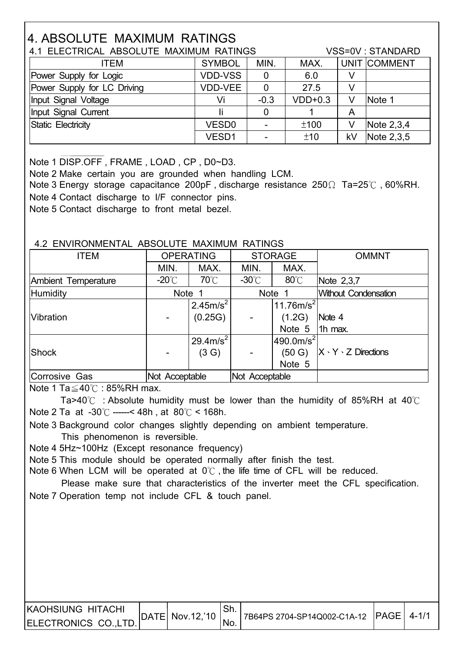### 4. ABSOLUTE MAXIMUM RATINGS

|                             | 4.1 ELECTRICAL ABSOLUTE MAXIMUM RATINGS |        |           |    |              |  |  |  |
|-----------------------------|-----------------------------------------|--------|-----------|----|--------------|--|--|--|
| <b>ITEM</b>                 | <b>SYMBOL</b>                           | MIN.   | MAX.      |    | UNIT COMMENT |  |  |  |
| Power Supply for Logic      | <b>VDD-VSS</b>                          | 0      | 6.0       |    |              |  |  |  |
| Power Supply for LC Driving | <b>VDD-VEE</b>                          | 0      | 27.5      | V  |              |  |  |  |
| Input Signal Voltage        | Vi                                      | $-0.3$ | $VDD+0.3$ | V  | Note 1       |  |  |  |
| Input Signal Current        |                                         | 0      |           | Α  |              |  |  |  |
| Static Electricity          | VESD <sub>0</sub>                       |        | ±100      | V  | Note $2,3,4$ |  |  |  |
|                             | VESD1                                   |        | ±10       | kV | Note 2,3,5   |  |  |  |

Note 1 DISP.OFF , FRAME , LOAD , CP , D0~D3.

I

Note 2 Make certain you are grounded when handling LCM.

Note 3 Energy storage capacitance 200pF, discharge resistance  $250\Omega$  Ta=25°C, 60%RH. Note 4 Contact discharge to I/F connector pins.

Note 5 Contact discharge to front metal bezel.

#### 4.2 ENVIRONMENTAL ABSOLUTE MAXIMUM RATINGS

| <b>ITEM</b>         | <b>OPERATING</b> |                      |                  | <b>STORAGE</b>           | <b>OMMNT</b>                   |
|---------------------|------------------|----------------------|------------------|--------------------------|--------------------------------|
|                     | MIN.             | MAX.                 | MIN.             | MAX.                     |                                |
| Ambient Temperature | -20 $^{\circ}$ C | $70^{\circ}$ C       | -30 $^{\circ}$ C | $80^{\circ}$ C           | Note 2,3,7                     |
| Humidity            | <b>Note</b>      |                      |                  | Note 1                   | <b>Without Condensation</b>    |
|                     |                  | 2.45m/s <sup>2</sup> |                  | 11.76 $m/s^2$            |                                |
| Vibration           |                  | (0.25G)              |                  | (1.2G)                   | Note 4                         |
|                     |                  |                      |                  | Note 5                   | 1h max.                        |
|                     |                  | $29.4 \text{m/s}^2$  |                  | $490.0$ m/s <sup>2</sup> |                                |
| Shock               |                  | (3 G)                |                  | (50 G)                   | $X \cdot Y \cdot Z$ Directions |
|                     |                  |                      |                  | Note 5                   |                                |
| Corrosive Gas       | Not Acceptable   |                      | Not Acceptable   |                          |                                |

Note 1 Ta $\leq$  40°C : 85%RH max.

Ta>40°C : Absolute humidity must be lower than the humidity of 85%RH at 40°C Note 2 Ta at  $-30^{\circ}$ C ------< 48h, at  $80^{\circ}$ C < 168h.

 Note 3 Background color changes slightly depending on ambient temperature. This phenomenon is reversible.

Note 4 5Hz~100Hz (Except resonance frequency)

Note 5 This module should be operated normally after finish the test.

Note 6 When LCM will be operated at  $0^{\circ}$ . the life time of CFL will be reduced.

Please make sure that characteristics of the inverter meet the CFL specification. Note 7 Operation temp not include CFL & touch panel.

| IKAOHSIUNG HITACHI   |                           |     |                                           |  |
|----------------------|---------------------------|-----|-------------------------------------------|--|
| ELECTRONICS CO.,LTD. | $ DATE $ Nov.12, 10 $ $ , | No. | 17B64PS 2704-SP14Q002-C1A-12 PAGE   4-1/1 |  |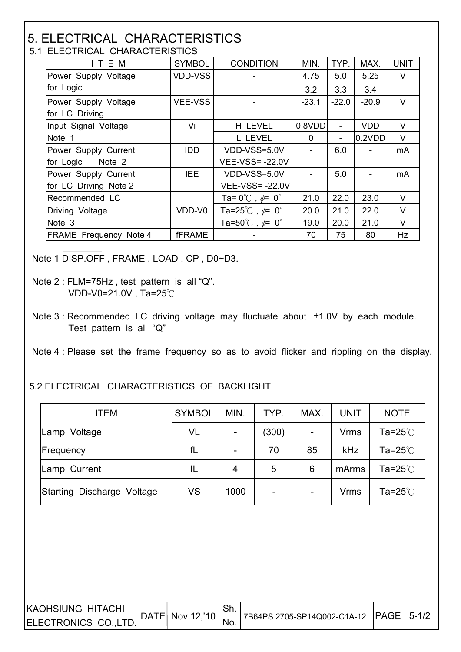#### 5. ELECTRICAL CHARACTERISTICS 5.1 ELECTRICAL CHARACTERISTICS

| T LLLUTNUAL UTANAUTLINOTIUS   |                |                                           |          |         |            |             |  |  |  |  |  |
|-------------------------------|----------------|-------------------------------------------|----------|---------|------------|-------------|--|--|--|--|--|
| ITEM                          | <b>SYMBOL</b>  | <b>CONDITION</b>                          | MIN.     | TYP.    | MAX.       | <b>UNIT</b> |  |  |  |  |  |
| Power Supply Voltage          | <b>VDD-VSS</b> |                                           | 4.75     | 5.0     | 5.25       | $\vee$      |  |  |  |  |  |
| for Logic                     |                |                                           | 3.2      | 3.3     | 3.4        |             |  |  |  |  |  |
| Power Supply Voltage          | <b>VEE-VSS</b> |                                           | $-23.1$  | $-22.0$ | $-20.9$    | V           |  |  |  |  |  |
| for LC Driving                |                |                                           |          |         |            |             |  |  |  |  |  |
| Input Signal Voltage          | Vi             | H LEVEL                                   | 0.8VDD   | ۰       | <b>VDD</b> | V           |  |  |  |  |  |
| Note 1                        |                | L LEVEL                                   | $\Omega$ |         | 0.2VDD     | V           |  |  |  |  |  |
| Power Supply Current          | <b>IDD</b>     | VDD-VSS=5.0V                              |          | 6.0     |            | mA          |  |  |  |  |  |
| for Logic Note 2              |                | <b>VEE-VSS=-22.0V</b>                     |          |         |            |             |  |  |  |  |  |
| Power Supply Current          | <b>IEE</b>     | VDD-VSS=5.0V                              |          | 5.0     |            | mA          |  |  |  |  |  |
| for LC Driving Note 2         |                | <b>VEE-VSS=-22.0V</b>                     |          |         |            |             |  |  |  |  |  |
| Recommended LC                |                | Ta= $0^{\circ}$ C, $\neq 0^{\circ}$       | 21.0     | 22.0    | 23.0       | V           |  |  |  |  |  |
| Driving Voltage               | VDD-V0         | Ta=25 $^{\circ}$ C, $\phi$ = 0 $^{\circ}$ | 20.0     | 21.0    | 22.0       | $\vee$      |  |  |  |  |  |
| Note 3                        |                | Ta=50 $^{\circ}$ C, $\phi$ = 0 $^{\circ}$ | 19.0     | 20.0    | 21.0       | V           |  |  |  |  |  |
| <b>FRAME Frequency Note 4</b> | <b>fFRAME</b>  |                                           | 70       | 75      | 80         | Hz          |  |  |  |  |  |

Note 1 DISP.OFF , FRAME , LOAD , CP , D0~D3.

 $\overline{\phantom{a}}$ 

 $\overline{\phantom{a}}$ 

Note 3 : Recommended LC driving voltage may fluctuate about  $\pm$ 1.0V by each module. Test pattern is all "Q"

Note 4 : Please set the frame frequency so as to avoid flicker and rippling on the display.

#### 5.2 ELECTRICAL CHARACTERISTICS OF BACKLIGHT

| <b>ITEM</b>                | <b>SYMBOL</b> | MIN. | TYP.           | MAX.                     | <b>UNIT</b> | <b>NOTE</b> |
|----------------------------|---------------|------|----------------|--------------------------|-------------|-------------|
| Lamp Voltage               | VL            |      | (300)          | $\overline{\phantom{a}}$ | <b>Vrms</b> | Ta=25 $°C$  |
| Frequency                  | fL            |      | 70             | 85                       | <b>kHz</b>  | Ta=25 $°C$  |
| Lamp Current               | IL            | 4    | 5              | 6                        | mArms       | Ta=25 $°C$  |
| Starting Discharge Voltage | VS            | 1000 | $\blacksquare$ | $\overline{\phantom{a}}$ | <b>Vrms</b> | Ta=25 $°C$  |

| IKAOHSIUNG HITACHI   |                 |                                            |  |
|----------------------|-----------------|--------------------------------------------|--|
| ELECTRONICS CO.,LTD. | DATE Nov.12,'10 | 7B64PS 2705-SP14Q002-C1A-12   PAGE   5-1/2 |  |

Note 2 : FLM=75Hz , test pattern is all "Q". VDD-V0=21.0V, Ta=25 $°C$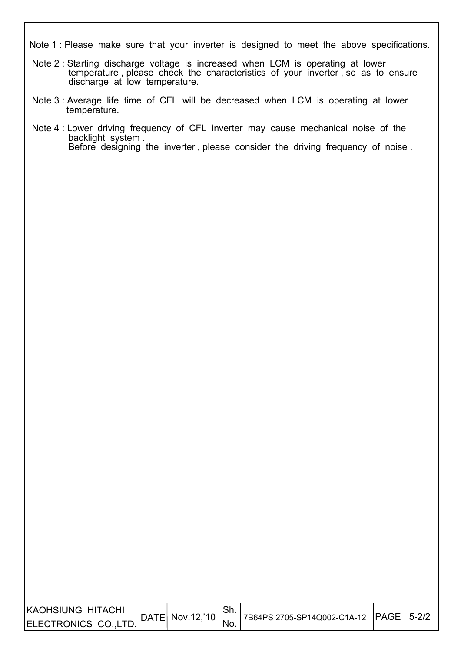Note 1 : Please make sure that your inverter is designed to meet the above specifications.

- Note 2 : Starting discharge voltage is increased when LCM is operating at lower temperature, please check the characteristics of your inverter, so as to ensure discharge at low temperature.
- Note 3 : Average life time of CFL will be decreased when LCM is operating at lower temperature.

 $\overline{\phantom{a}}$ 

 $\overline{\phantom{a}}$ 

 Note 4 : Lower driving frequency of CFL inverter may cause mechanical noise of the backlight system . Before designing the inverter , please consider the driving frequency of noise .

| KAOHSIUNG HITACHI     |                  |     |                                         |  |
|-----------------------|------------------|-----|-----------------------------------------|--|
| ELECTRONICS CO., LTD. | DATE  Nov.12,'10 | NG. | 17B64PS 2705-SP14Q002-C1A-12 PAGE 5-2/2 |  |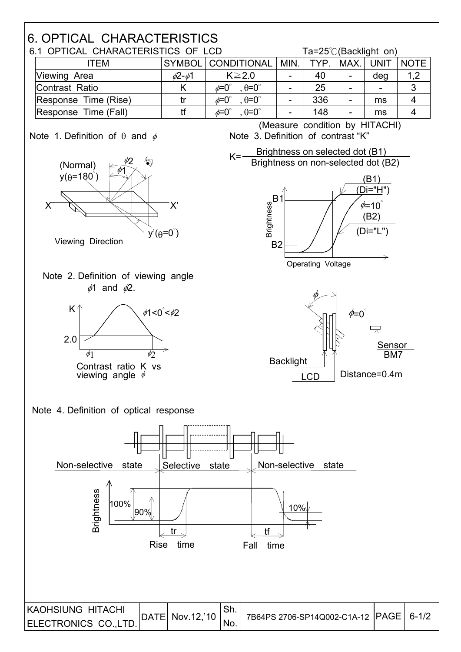### 6. OPTICAL CHARACTERISTICS

|                      | 6.1 OPTICAL CHARACTERISTICS OF LCD |                                            |      |                  |       |                          | Ta=25 $\degree$ C(Backlight on) |
|----------------------|------------------------------------|--------------------------------------------|------|------------------|-------|--------------------------|---------------------------------|
| ITEM                 |                                    | SYMBOL CONDITIONAL                         | MIN. | $^{\prime}$ TYP. | IMAX. | <b>UNIT</b>              | <b>NOTE</b>                     |
| Viewing Area         | $\phi$ 2- $\phi$ 1                 | $K \geq 2.0$                               |      | 40               |       | deg                      | 1,2                             |
| Contrast Ratio       |                                    | $\theta = 0^{\circ}$<br>$\phi = 0^{\circ}$ |      | 25               |       | $\overline{\phantom{0}}$ | 3                               |
| Response Time (Rise) |                                    | $\theta = 0^\circ$<br>$\phi = 0^{\circ}$   |      | 336              |       | ms                       |                                 |
| Response Time (Fall) |                                    | $\phi$ =0 $^{\circ}$<br>$\theta = 0^\circ$ |      | 148              |       | ms                       |                                 |

I

Note 1. Definition of  $\theta$  and  $\phi$  Note 3. Definition of contrast "K" (Measure condition by HITACHI)

Brightness on non-selected dot (B2)

 $K =$  Brightness on selected dot  $(B1)$ 









(B1)



Note 4. Definition of optical response

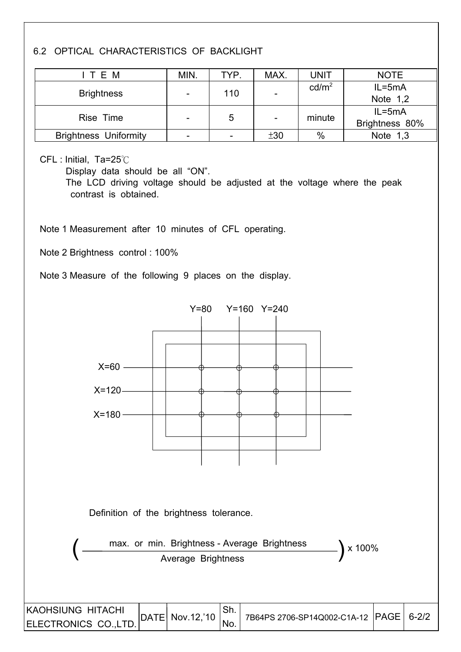#### 6.2 OPTICAL CHARACTERISTICS OF BACKLIGHT

| ITEM                         | MIN.            | TYP. | MAX. | <b>UNIT</b>       | <b>NOTE</b>    |
|------------------------------|-----------------|------|------|-------------------|----------------|
|                              |                 | 110  |      | cd/m <sup>2</sup> | $IL = 5mA$     |
| <b>Brightness</b>            |                 |      |      |                   | Note $1,2$     |
| Rise Time                    |                 | 5    |      | minute            | $IL = 5mA$     |
|                              | $\qquad \qquad$ |      |      |                   | Brightness 80% |
| <b>Brightness Uniformity</b> | -               |      | ±30  | $\%$              | Note $1,3$     |

CFL : Initial, Ta=25°C

 $\overline{\phantom{a}}$ 

 $\overline{\phantom{a}}$ 

Display data should be all "ON".

 The LCD driving voltage should be adjusted at the voltage where the peak contrast is obtained.

Note 1 Measurement after 10 minutes of CFL operating.

Note 2 Brightness control : 100%

Note 3 Measure of the following 9 places on the display.

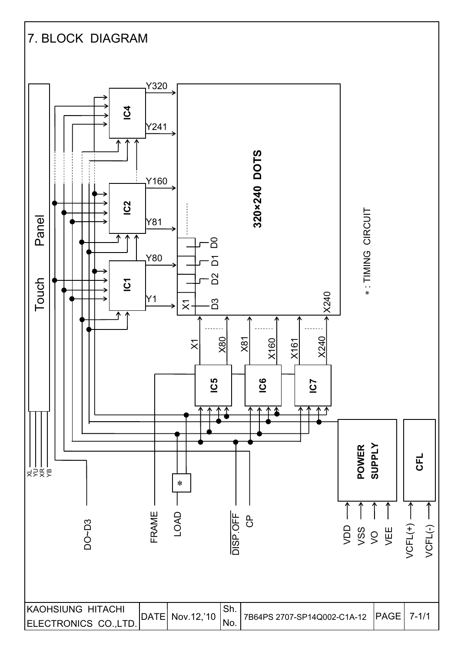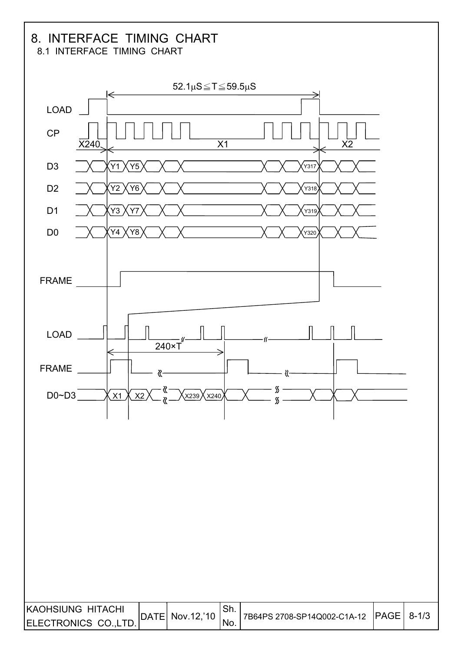## 8. INTERFACE TIMING CHART

8.1 INTERFACE TIMING CHART

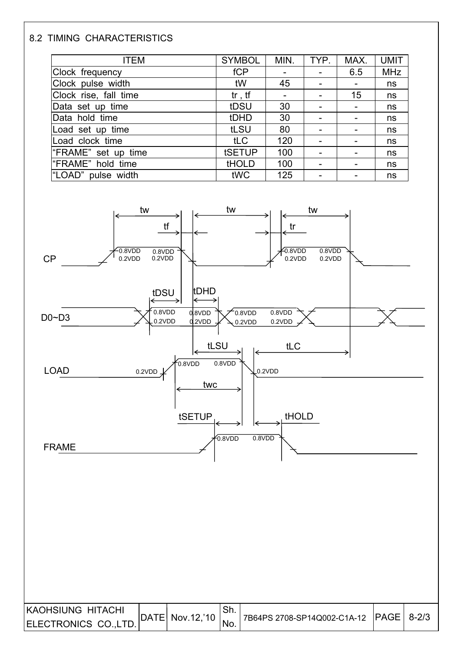#### 8.2 TIMING CHARACTERISTICS

 $\overline{\phantom{a}}$ 

| <b>ITEM</b>           | <b>SYMBOL</b> | MIN. | TYP.                     | MAX. | <b>UMIT</b> |
|-----------------------|---------------|------|--------------------------|------|-------------|
| Clock frequency       | fCP           |      | -                        | 6.5  | <b>MHz</b>  |
| Clock pulse width     | tW            | 45   |                          |      | ns          |
| Clock rise, fall time | $tr$ , $tf$   |      |                          | 15   | ns          |
| Data set up time      | tDSU          | 30   | $\overline{\phantom{0}}$ |      | ns          |
| Data hold time        | tDHD          | 30   | -                        |      | ns          |
| Load set up time      | tLSU          | 80   |                          |      | ns          |
| Load clock time       | tLC           | 120  |                          |      | ns          |
| "FRAME" set up time   | tSETUP        | 100  | $\overline{\phantom{0}}$ |      | ns          |
| "FRAME" hold time     | <b>tHOLD</b>  | 100  | $\overline{\phantom{0}}$ |      | ns          |
| "LOAD" pulse width    | tWC           | 125  |                          |      | ns          |



| KAOHSIUNG HITACHI    | DATE  Nov.12,'10 | <sup>1</sup> 7B64PS 2708-SP14Q002-C1A-12 PAGE 8-2/3 |  |
|----------------------|------------------|-----------------------------------------------------|--|
| ELECTRONICS CO.,LTD. |                  |                                                     |  |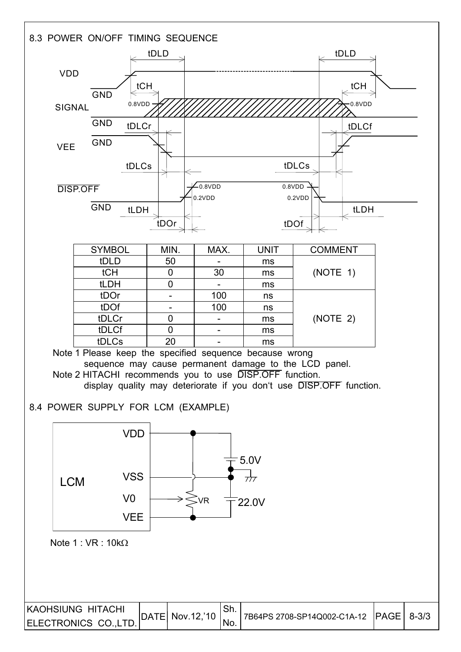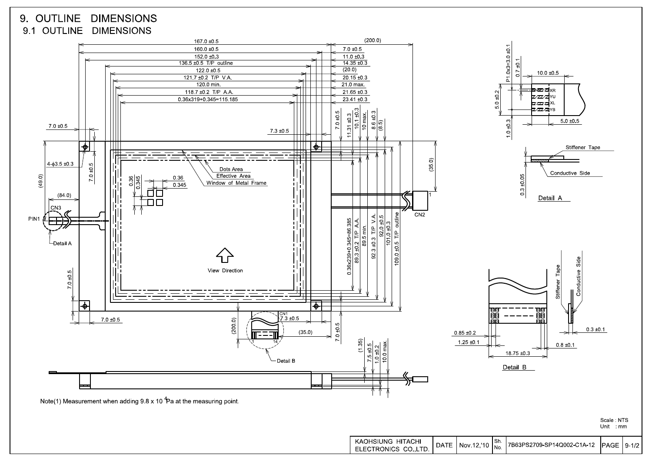#### 9. OUTLINE DIMENSIONS 9.1 OUTLINE DIMENSIONS

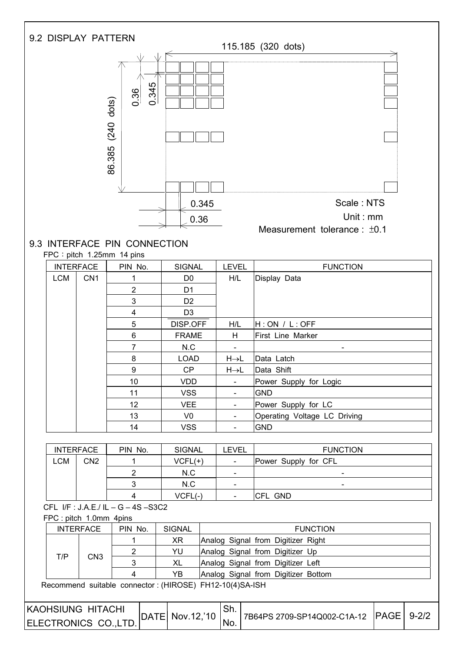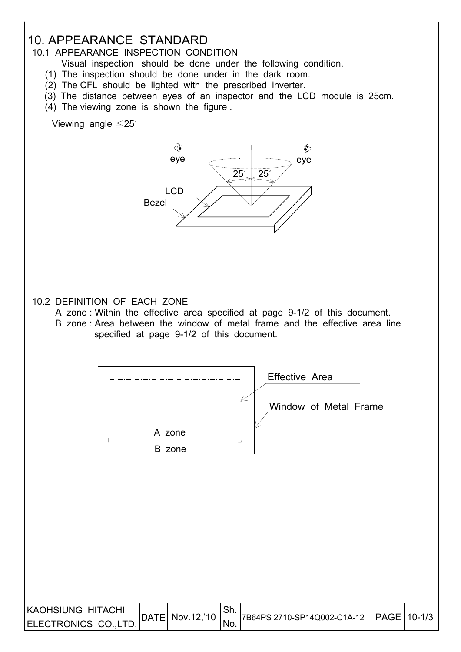### 10. APPEARANCE STANDARD

10.1 APPEARANCE INSPECTION CONDITION

- Visual inspection should be done under the following condition.
- (1) The inspection should be done under in the dark room.
- (2) The CFL should be lighted with the prescribed inverter.
- (3) The distance between eyes of an inspector and the LCD module is 25cm.
- (4) The viewing zone is shown the figure .

Viewing angle  $\leq$  25 $\degree$ 

I



#### 10.2 DEFINITION OF EACH ZONE

- A zone : Within the effective area specified at page 9-1/2 of this document.
- B zone : Area between the window of metal frame and the effective area line specified at page 9-1/2 of this document.

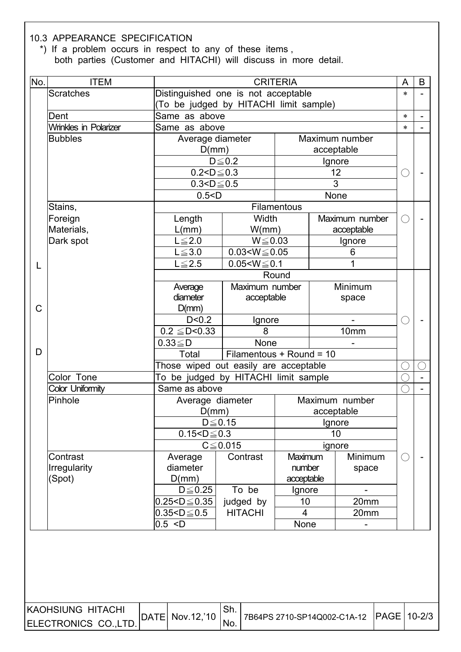10.3 APPEARANCE SPECIFICATION

I

\*) If a problem occurs in respect to any of these items ,

both parties (Customer and HITACHI) will discuss in more detail.

| No.         | <b>ITEM</b>                  |                                        | <b>CRITERIA</b>             |              |                |                              |                            |  |  |  |  |  |  |
|-------------|------------------------------|----------------------------------------|-----------------------------|--------------|----------------|------------------------------|----------------------------|--|--|--|--|--|--|
|             | <b>Scratches</b>             | Distinguished one is not acceptable    |                             |              |                |                              | $\ast$                     |  |  |  |  |  |  |
|             |                              | (To be judged by HITACHI limit sample) |                             |              |                |                              |                            |  |  |  |  |  |  |
|             | Dent                         | Same as above                          |                             |              |                |                              | $\ast$                     |  |  |  |  |  |  |
|             | <b>Wrinkles in Polarizer</b> | Same as above                          |                             |              |                |                              | $\ast$                     |  |  |  |  |  |  |
|             | <b>Bubbles</b>               | Average diameter                       |                             |              | Maximum number |                              |                            |  |  |  |  |  |  |
|             |                              | D(mm)                                  |                             |              |                | acceptable                   |                            |  |  |  |  |  |  |
|             |                              |                                        | $D \leq 0.2$                |              |                | Ignore                       |                            |  |  |  |  |  |  |
|             |                              | $0.2 < D \le 0.3$<br>$0.3 < D \le 0.5$ |                             |              |                | 12<br>$\overline{3}$         |                            |  |  |  |  |  |  |
|             |                              | 0.5 < D                                |                             |              |                | None                         |                            |  |  |  |  |  |  |
|             | Stains,                      |                                        |                             | Filamentous  |                |                              |                            |  |  |  |  |  |  |
|             | Foreign                      | Length                                 | Width                       |              |                | Maximum number               |                            |  |  |  |  |  |  |
|             | Materials,                   | L(mm)                                  | W/mm)<br>acceptable         |              |                |                              |                            |  |  |  |  |  |  |
|             | Dark spot                    | $L \leq 2.0$                           |                             | $W \le 0.03$ |                |                              |                            |  |  |  |  |  |  |
|             |                              | $L \le 3.0$                            | $0.03 < W \le 0.05$         |              |                | Ignore<br>6                  |                            |  |  |  |  |  |  |
| L           |                              | $L \leq 2.5$                           | $0.05 < W \le 0.1$          |              |                | 1                            | A<br>ί.<br>$(\phantom{a})$ |  |  |  |  |  |  |
|             |                              |                                        |                             | Round        |                |                              |                            |  |  |  |  |  |  |
|             |                              | Average                                | Maximum number              |              |                | Minimum                      |                            |  |  |  |  |  |  |
|             |                              | diameter                               | acceptable                  |              |                | space                        |                            |  |  |  |  |  |  |
| $\mathsf C$ |                              | D(mm)                                  |                             |              |                |                              |                            |  |  |  |  |  |  |
|             |                              | D < 0.2                                | Ignore                      |              |                |                              |                            |  |  |  |  |  |  |
|             |                              | $\overline{0.2} \leq D < 0.33$         | 8                           |              |                | 10mm                         |                            |  |  |  |  |  |  |
|             |                              | $0.33 \leq D$                          | None                        |              |                |                              |                            |  |  |  |  |  |  |
| D           |                              | Total                                  | Filamentous + Round = 10    |              |                |                              |                            |  |  |  |  |  |  |
|             |                              | Those wiped out easily are acceptable  |                             |              |                |                              |                            |  |  |  |  |  |  |
|             | Color Tone                   | To be judged by HITACHI limit sample   |                             |              |                |                              |                            |  |  |  |  |  |  |
|             | <b>Color Uniformity</b>      | Same as above                          |                             |              |                |                              |                            |  |  |  |  |  |  |
|             | Pinhole                      | Average diameter                       |                             |              |                | Maximum number<br>acceptable |                            |  |  |  |  |  |  |
|             |                              | D(mm)                                  |                             |              |                |                              |                            |  |  |  |  |  |  |
|             |                              | $0.15 < D \le 0.3$                     | $D \leq 0.15$               | Ignore       |                |                              |                            |  |  |  |  |  |  |
|             |                              |                                        | $C \leq 0.015$              |              | 10<br>ignore   |                              |                            |  |  |  |  |  |  |
|             | Contrast                     | Average                                | Contrast                    | Maximum      |                | Minimum                      |                            |  |  |  |  |  |  |
|             | <b>Irregularity</b>          | diameter                               |                             | number       |                | space                        |                            |  |  |  |  |  |  |
|             | (Spot)                       | D(mm)                                  |                             | acceptable   |                |                              |                            |  |  |  |  |  |  |
|             |                              | $D \leq 0.25$                          | To be                       | Ignore       |                |                              |                            |  |  |  |  |  |  |
|             |                              |                                        |                             | 10           |                | 20mm                         |                            |  |  |  |  |  |  |
|             |                              | $0.25 < D \le 0.35$                    |                             |              |                |                              |                            |  |  |  |  |  |  |
|             |                              | $0.35 < D \le 0.5$                     | judged by<br><b>HITACHI</b> | 4            |                | 20mm                         |                            |  |  |  |  |  |  |

| KAOHSIUNG HITACHI    |                  | <sup>⊥</sup> Sh. |                                         |  |
|----------------------|------------------|------------------|-----------------------------------------|--|
| ELECTRONICS CO.,LTD. | DATE  Nov.12,'10 | No.              | 7B64PS 2710-SP14Q002-C1A-12 PAGE 10-2/3 |  |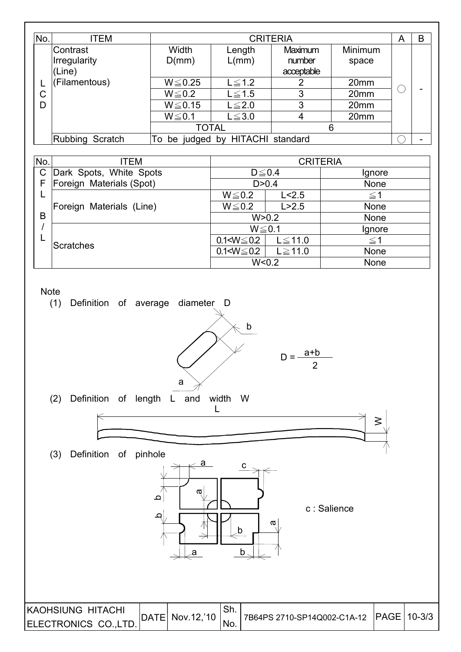| No. | ITEM                                   |                | <b>CRITERIA</b>               |                                 |                  |  |   |  |  |  |  |
|-----|----------------------------------------|----------------|-------------------------------|---------------------------------|------------------|--|---|--|--|--|--|
|     | Contrast<br>Irregularity<br>$ $ (Line) | Width<br>D(mm) | Length<br>L/mm)               | Maximum<br>number<br>acceptable | Minimum<br>space |  |   |  |  |  |  |
|     | (Filamentous)                          | $W \le 0.25$   | $L \leq 1.2$                  | 2                               | 20 <sub>mm</sub> |  |   |  |  |  |  |
| C   |                                        | $W \le 0.2$    | $L \leq 1.5$                  | 3                               | 20mm             |  |   |  |  |  |  |
| D   |                                        | $W \le 0.15$   | $L \leq 2.0$                  | 3                               | 20 <sub>mm</sub> |  |   |  |  |  |  |
|     |                                        | $W \le 0.1$    | $L \leq 3.0$                  | 4                               | 20 <sub>mm</sub> |  |   |  |  |  |  |
|     |                                        | <b>TOTAL</b>   |                               | 6                               |                  |  |   |  |  |  |  |
|     | Rubbing Scratch                        | To             | be judged by HITACHI standard |                                 |                  |  | ۰ |  |  |  |  |

| No.          | <b>ITEM</b>              |                   |               | <b>CRITERIA</b> |
|--------------|--------------------------|-------------------|---------------|-----------------|
| $\mathsf{C}$ | Dark Spots, White Spots  | $D \leq 0.4$      |               | Ignore          |
| F            | Foreign Materials (Spot) |                   | D > 0.4       | None            |
| ட            |                          | $W \le 0.2$       | L < 2.5       | $\leq$ 1        |
|              | Foreign Materials (Line) | $W \le 0.2$       | L > 2.5       | None            |
| B            |                          | W > 0.2           |               | <b>None</b>     |
|              |                          | $W \le 0.1$       |               | Ignore          |
|              | <b>Scratches</b>         | $0.1 < W \le 0.2$ | $L \leq 11.0$ | $\leq$ 1        |
|              |                          | $0.1 < W \le 0.2$ | $L \ge 11.0$  | <b>None</b>     |
|              |                          | W < 0.2           |               | None            |

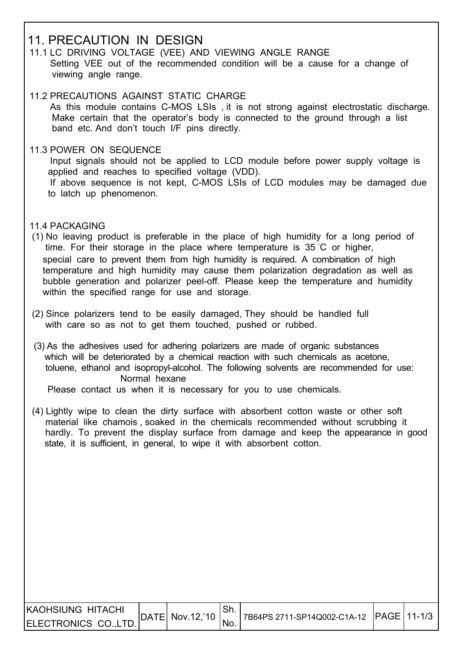#### 11. PRECAUTION IN DESIGN

- 11.1 LC DRIVING VOLTAGE (VEE) AND VIEWING ANGLE RANGE Setting VEE out of the recommended condition will be a cause for a change of viewing angle range.
- 11.2 PRECAUTIONS AGAINST STATIC CHARGE As this module contains C-MOS LSIs , it is not strong against electrostatic discharge. Make certain that the operator's body is connected to the ground through a list band etc. And don't touch I/F pins directly.
- 11.3 POWER ON SEQUENCE
	- Input signals should not be applied to LCD module before power supply voltage is applied and reaches to specified voltage (VDD). If above sequence is not kept, C-MOS LSIs of LCD modules may be damaged due to latch up phenomenon.
- 11.4 PACKAGING

 $\overline{\phantom{a}}$ 

- (1) No leaving product is preferable in the place of high humidity for a long period of time. For their storage in the place where temperature is 35 ̓C or higher, special care to prevent them from high humidity is required. A combination of high temperature and high humidity may cause them polarization degradation as well as bubble generation and polarizer peel-off. Please keep the temperature and humidity within the specified range for use and storage.
- (2) Since polarizers tend to be easily damaged, They should be handled full with care so as not to get them touched, pushed or rubbed.
- (3) As the adhesives used for adhering polarizers are made of organic substances which will be deteriorated by a chemical reaction with such chemicals as acetone, toluene, ethanol and isopropyl-alcohol. The following solvents are recommended for use: Normal hexane

Please contact us when it is necessary for you to use chemicals.

 (4) Lightly wipe to clean the dirty surface with absorbent cotton waste or other soft material like chamois , soaked in the chemicals recommended without scrubbing it hardly. To prevent the display surface from damage and keep the appearance in good state, it is sufficient, in general, to wipe it with absorbent cotton.

| IKAOHSIUNG HITACHI   | $ $ DATE $ $ Nov.12,'10 $ $ . | 7B64PS 2711-SP14Q002-C1A-12 PAGE 11-1/3 |  |
|----------------------|-------------------------------|-----------------------------------------|--|
| ELECTRONICS CO.,LTD. |                               |                                         |  |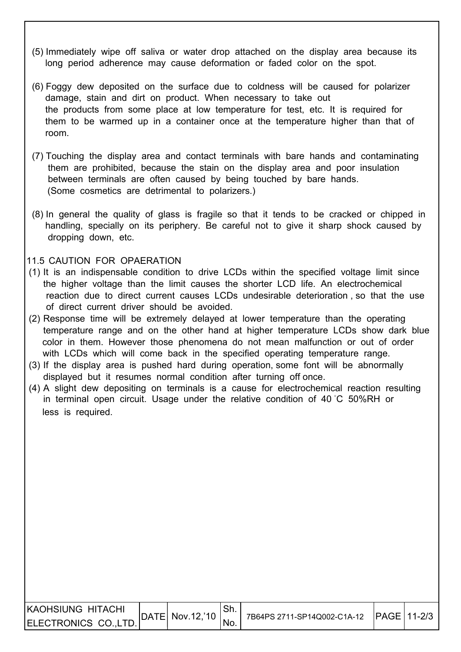- (5) Immediately wipe off saliva or water drop attached on the display area because its long period adherence may cause deformation or faded color on the spot.
- (6) Foggy dew deposited on the surface due to coldness will be caused for polarizer damage, stain and dirt on product. When necessary to take out the products from some place at low temperature for test, etc. It is required for them to be warmed up in a container once at the temperature higher than that of room.
- (7) Touching the display area and contact terminals with bare hands and contaminating them are prohibited, because the stain on the display area and poor insulation between terminals are often caused by being touched by bare hands. (Some cosmetics are detrimental to polarizers.)
- (8) In general the quality of glass is fragile so that it tends to be cracked or chipped in handling, specially on its periphery. Be careful not to give it sharp shock caused by dropping down, etc.

#### 11.5 CAUTION FOR OPAERATION

- (1) It is an indispensable condition to drive LCDs within the specified voltage limit since the higher voltage than the limit causes the shorter LCD life. An electrochemical reaction due to direct current causes LCDs undesirable deterioration , so that the use of direct current driver should be avoided.
- (2) Response time will be extremely delayed at lower temperature than the operating temperature range and on the other hand at higher temperature LCDs show dark blue color in them. However those phenomena do not mean malfunction or out of order with LCDs which will come back in the specified operating temperature range.
- (3) If the display area is pushed hard during operation, some font will be abnormally displayed but it resumes normal condition after turning off once.
- (4) A slight dew depositing on terminals is a cause for electrochemical reaction resulting in terminal open circuit. Usage under the relative condition of 40 ̓C 50%RH or less is required.

| IKAOHSIUNG HITACHI   |                               |                                                      |  |
|----------------------|-------------------------------|------------------------------------------------------|--|
| ELECTRONICS CO.,LTD. | $ $ DATE $ $ Nov.12,'10 $ $ . | <sup>1</sup> 7B64PS 2711-SP14Q002-C1A-12 PAGE 11-2/3 |  |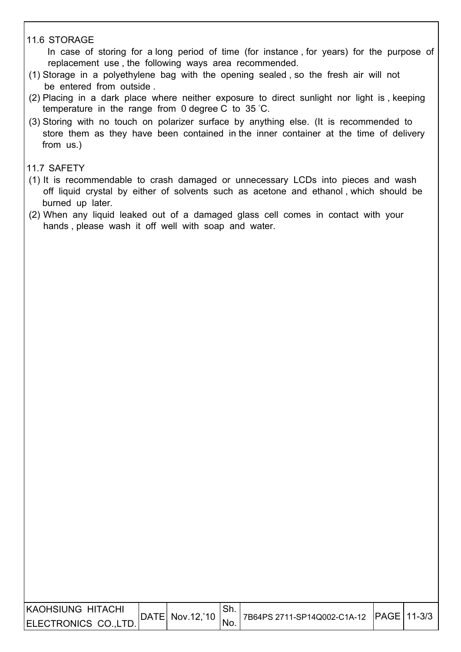#### 11.6 STORAGE

 In case of storing for a long period of time (for instance , for years) for the purpose of replacement use , the following ways area recommended.

- (1) Storage in a polyethylene bag with the opening sealed , so the fresh air will not be entered from outside .
- (2) Placing in a dark place where neither exposure to direct sunlight nor light is , keeping temperature in the range from 0 degree C to 35 ̓C.
- (3) Storing with no touch on polarizer surface by anything else. (It is recommended to store them as they have been contained in the inner container at the time of delivery from us.)

#### 11.7 SAFETY

- (1) It is recommendable to crash damaged or unnecessary LCDs into pieces and wash off liquid crystal by either of solvents such as acetone and ethanol , which should be burned up later.
- (2) When any liquid leaked out of a damaged glass cell comes in contact with your hands , please wash it off well with soap and water.

| IKAOHSIUNG HITACHI   |                     |                                              |  |
|----------------------|---------------------|----------------------------------------------|--|
| ELECTRONICS CO.,LTD. | $ DATE $ Nov.12, 10 | '7B64PS 2711-SP14Q002-C1A-12   PAGE   11-3/3 |  |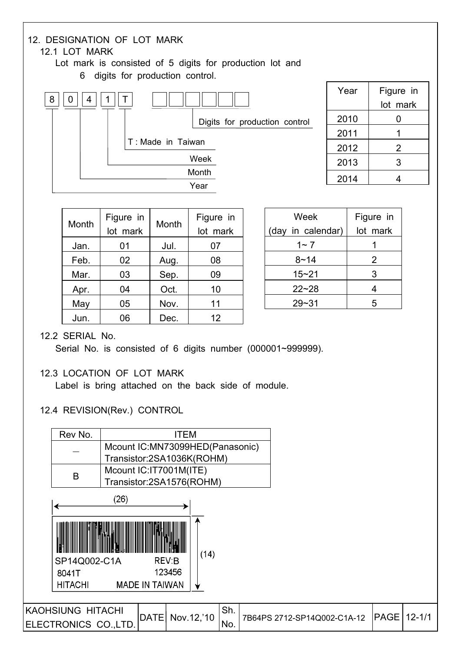

| Month | Figure in<br>lot mark | Month | Figure in<br>lot mark |
|-------|-----------------------|-------|-----------------------|
| Jan.  | 01                    | Jul.  | 07                    |
| Feb.  | 02                    | Aug.  | 08                    |
| Mar.  | 03                    | Sep.  | 09                    |
| Apr.  | 04                    | Oct.  | 10                    |
| May   | 05                    | Nov.  | 11                    |
| Jun.  | 06                    | Dec.  | 12                    |

| Week              | Figure in |
|-------------------|-----------|
| (day in calendar) | lot mark  |
| $1 - 7$           |           |
| $8 - 14$          | 2         |
| $15 - 21$         | 3         |
| $22 - 28$         | 4         |
| 29~31             | 5         |

#### 12.2 SERIAL No.

Serial No. is consisted of 6 digits number (000001~999999).

#### 12.3 LOCATION OF LOT MARK

Label is bring attached on the back side of module.

#### 12.4 REVISION(Rev.) CONTROL

| Rev No.                  |                                                              | ITEM                    |     |                             |      |            |
|--------------------------|--------------------------------------------------------------|-------------------------|-----|-----------------------------|------|------------|
|                          | Mcount IC:MN73099HED(Panasonic)<br>Transistor:2SA1036K(ROHM) |                         |     |                             |      |            |
| B                        | Mcount IC:IT7001M(ITE)<br>Transistor:2SA1576(ROHM)           |                         |     |                             |      |            |
|                          | (26)                                                         |                         |     |                             |      |            |
| SP14Q002-C1A             |                                                              | (14)<br>REV:B<br>123456 |     |                             |      |            |
| 8041T<br><b>HITACHI</b>  | <b>MADE IN TAIWAN</b>                                        |                         |     |                             |      |            |
| <b>KAOHSIUNG HITACHI</b> | DATE                                                         | Nov.12,'10              | Sh. | 7B64PS 2712-SP14Q002-C1A-12 | PAGE | $12 - 1/1$ |
| ELECTRONICS CO., LTD.    |                                                              |                         | No. |                             |      |            |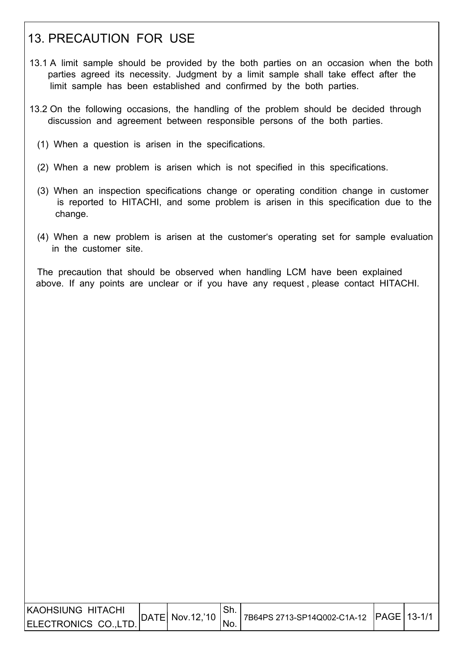### 13. PRECAUTION FOR USE

- 13.1 A limit sample should be provided by the both parties on an occasion when the both parties agreed its necessity. Judgment by a limit sample shall take effect after the limit sample has been established and confirmed by the both parties.
- 13.2 On the following occasions, the handling of the problem should be decided through discussion and agreement between responsible persons of the both parties.
	- (1) When a question is arisen in the specifications.
	- (2) When a new problem is arisen which is not specified in this specifications.
	- (3) When an inspection specifications change or operating condition change in customer is reported to HITACHI, and some problem is arisen in this specification due to the change.
	- (4) When a new problem is arisen at the customer's operating set for sample evaluation in the customer site.

 The precaution that should be observed when handling LCM have been explained above. If any points are unclear or if you have any request , please contact HITACHI.

| IKAOHSIUNG HITACHI   |                            |      |                                             |  |
|----------------------|----------------------------|------|---------------------------------------------|--|
| ELECTRONICS CO.,LTD. | $ DATE $ Nov. 12, 10 $ $ . | 'No. | 7B64PS 2713-SP14Q002-C1A-12   PAGE   13-1/1 |  |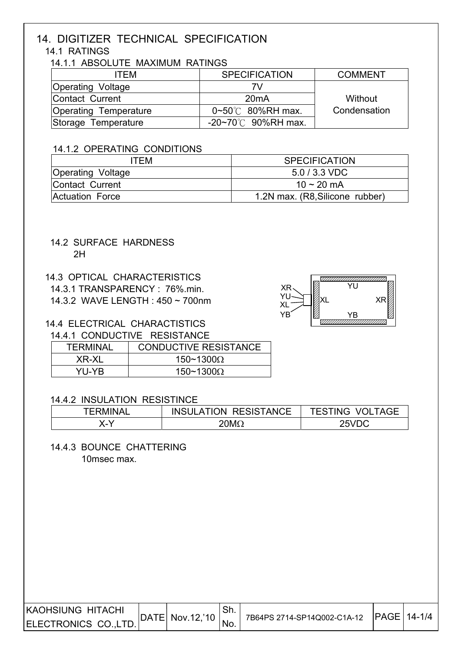### 14. DIGITIZER TECHNICAL SPECIFICATION

#### 14.1 RATINGS

14.1.1 ABSOLUTE MAXIMUM RATINGS

| <b>ITEM</b>                  | <b>SPECIFICATION</b>             | <b>COMMENT</b> |
|------------------------------|----------------------------------|----------------|
| Operating Voltage            |                                  |                |
| Contact Current              | 20mA                             | Without        |
| <b>Operating Temperature</b> | $0 \sim 50^{\circ}$ 80%RH max.   | Condensation   |
| Storage Temperature          | $-20 \sim 70^{\circ}$ 90%RH max. |                |

#### 14.1.2 OPERATING CONDITIONS

| ITEM                     | <b>SPECIFICATION</b>            |  |  |
|--------------------------|---------------------------------|--|--|
| <b>Operating Voltage</b> | $5.0 / 3.3 \text{ VDC}$         |  |  |
| Contact Current          | $10 \sim 20$ mA                 |  |  |
| Actuation Force          | 1.2N max. (R8, Silicone rubber) |  |  |

#### 14.2 SURFACE HARDNESS 2H

#### 14.3 OPTICAL CHARACTERISTICS

14.3.1 TRANSPARENCY : 76%.min.

14.3.2 WAVE LENGTH : 450 ~ 700nm

#### 14.4 ELECTRICAL CHARACTISTICS

#### 14.4.1 CONDUCTIVE RESISTANCE

| <b>TERMINAL</b> | <b>CONDUCTIVE RESISTANCE</b> |
|-----------------|------------------------------|
| XR-XL           | 150~1300 $\Omega$            |
| YU-YR.          | 150~1300 $\Omega$            |

#### 14.4.2 INSULATION RESISTINCE

| <b><i>TERMINAL</i></b> | <b>INSULATION RESISTANCE</b> | <b>TESTING VOLTAGE</b> |
|------------------------|------------------------------|------------------------|
|                        | 20M $\Omega$                 | 25VDC                  |

 14.4.3 BOUNCE CHATTERING 10msec max.

| IKAOHSIUNG HITACHI   | DATE  Nov.12,'10 |                | .ווט                        |  | IPAGE   14-1/4 |  |
|----------------------|------------------|----------------|-----------------------------|--|----------------|--|
| ELECTRONICS CO.,LTD. |                  | $\sqrt{N}$ No. | 7B64PS 2714-SP14Q002-C1A-12 |  |                |  |

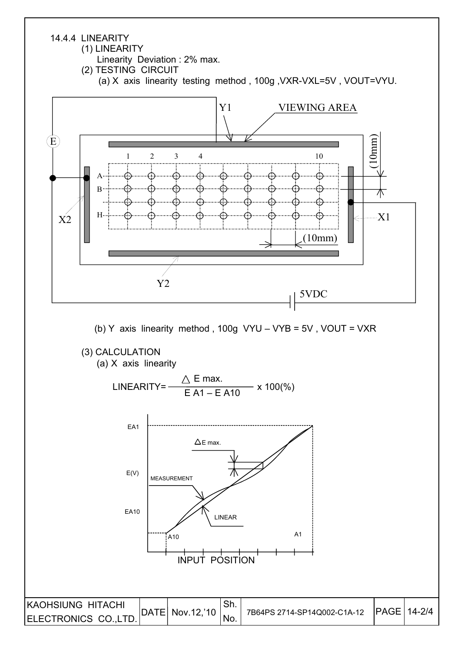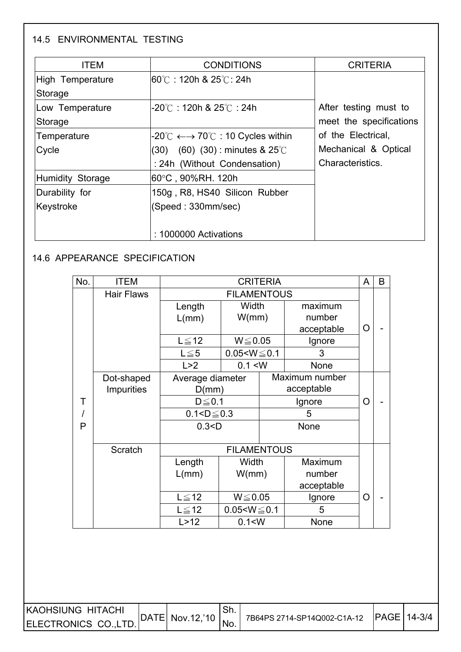#### 14.5 ENVIRONMENTAL TESTING

ſ

| <b>ITEM</b>      | <b>CONDITIONS</b>                                                        | <b>CRITERIA</b>         |  |  |
|------------------|--------------------------------------------------------------------------|-------------------------|--|--|
| High Temperature | <b>I60℃ : 120h &amp; 25℃: 24h</b>                                        |                         |  |  |
| Storage          |                                                                          |                         |  |  |
| Low Temperature  | -20℃:120h & 25℃:24h                                                      | After testing must to   |  |  |
| Storage          |                                                                          | meet the specifications |  |  |
| Temperature      | $-20^{\circ}$ C $\longleftrightarrow$ 70 $^{\circ}$ C : 10 Cycles within | of the Electrical,      |  |  |
| Cycle            | $(60)$ $(30)$ : minutes & 25°C<br>(30)                                   | Mechanical & Optical    |  |  |
|                  | : 24h (Without Condensation)                                             | Characteristics.        |  |  |
| Humidity Storage | 60°C , 90%RH. 120h                                                       |                         |  |  |
| Durability for   | 150g, R8, HS40 Silicon Rubber                                            |                         |  |  |
| Keystroke        | (Speed: 330mm/sec)                                                       |                         |  |  |
|                  |                                                                          |                         |  |  |
|                  | : 1000000 Activations                                                    |                         |  |  |

#### 14.6 APPEARANCE SPECIFICATION

| No. | ITEM              |                             |                    | <b>CRITERIA</b>    |                | A | B |
|-----|-------------------|-----------------------------|--------------------|--------------------|----------------|---|---|
|     | <b>Hair Flaws</b> |                             | <b>FILAMENTOUS</b> |                    |                |   |   |
|     |                   | Length                      | Width              |                    | maximum        | O |   |
|     |                   | L/mm)                       | W/mm)              |                    | number         |   |   |
|     |                   |                             |                    |                    | acceptable     |   |   |
|     |                   | $L \leq 12$<br>$W \le 0.05$ |                    | Ignore             |                |   |   |
|     |                   | $L \leq 5$                  | $0.05 < W \le 0.1$ | 3                  |                |   |   |
|     |                   | L > 2                       | 0.1 < W            |                    | None           |   |   |
|     | Dot-shaped        | Average diameter            |                    |                    | Maximum number |   |   |
|     | <b>Impurities</b> | D(mm)                       |                    | acceptable         |                | O |   |
| Τ   |                   | $D \leq 0.1$                |                    | Ignore             |                |   |   |
|     |                   |                             | $0.1 < D \le 0.3$  |                    | 5              |   |   |
| P   |                   | 0.3 < D                     |                    |                    | None           |   |   |
|     |                   |                             |                    |                    |                |   |   |
|     | Scratch           |                             | <b>FILAMENTOUS</b> |                    |                |   |   |
|     |                   | Length                      | Width              | Maximum            |                |   |   |
|     |                   | L/mm)                       | W/mm)              |                    | number         |   |   |
|     | $L \leq 12$       |                             |                    |                    | acceptable     |   |   |
|     |                   |                             | $W \le 0.05$       |                    | Ignore         | O |   |
|     |                   | $L \leq 12$                 |                    | $0.05 < W \le 0.1$ | 5              |   |   |
|     |                   | L > 12                      | 0.1 < W            |                    | None           |   |   |

| <b>IKAOHSIUNG HITACHI</b> | DATE  Nov.12,'10 | .ו וכ | 7B64PS 2714-SP14Q002-C1A-12 | <b>IPAGE 14-3/4</b> |
|---------------------------|------------------|-------|-----------------------------|---------------------|
| ELECTRONICS CO.,LTD.      |                  | NO.   |                             |                     |